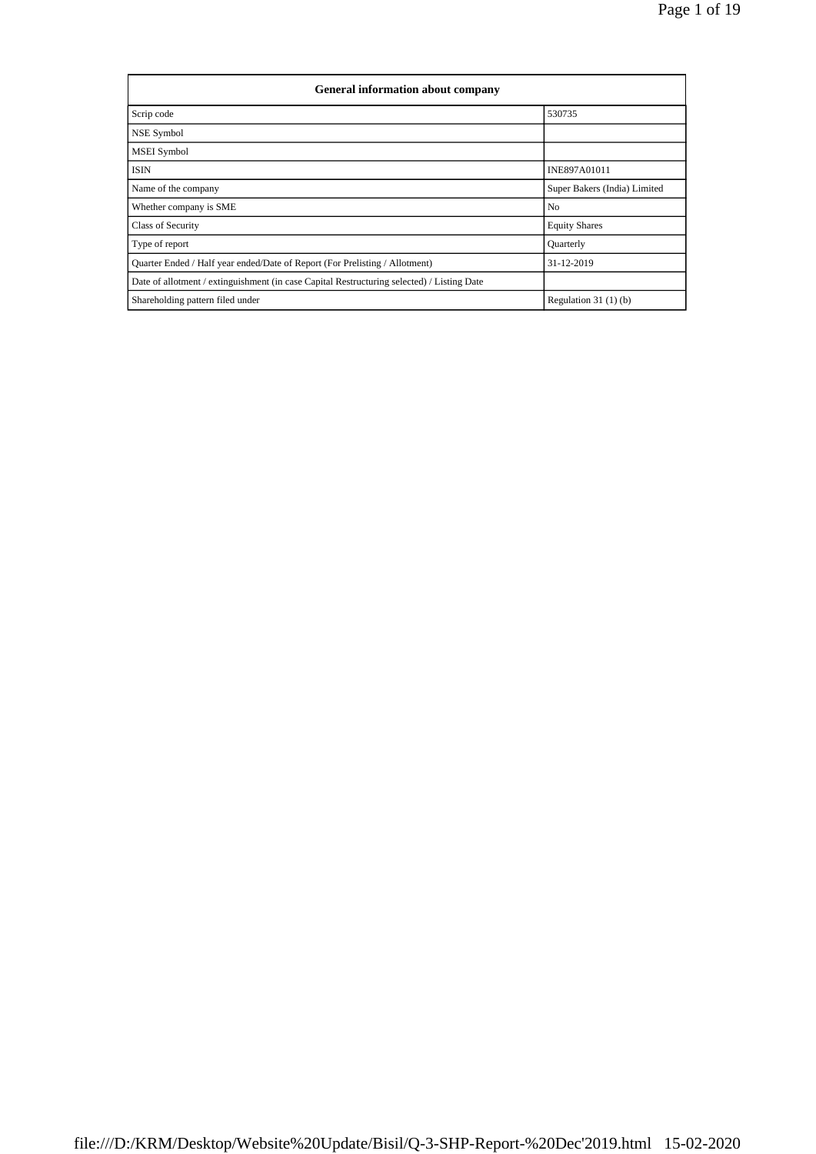| <b>General information about company</b>                                                   |                              |  |  |  |  |  |
|--------------------------------------------------------------------------------------------|------------------------------|--|--|--|--|--|
| Scrip code                                                                                 | 530735                       |  |  |  |  |  |
| NSE Symbol                                                                                 |                              |  |  |  |  |  |
| <b>MSEI</b> Symbol                                                                         |                              |  |  |  |  |  |
| ISIN                                                                                       | <b>INE897A01011</b>          |  |  |  |  |  |
| Name of the company                                                                        | Super Bakers (India) Limited |  |  |  |  |  |
| Whether company is SME                                                                     | No                           |  |  |  |  |  |
| <b>Class of Security</b>                                                                   | <b>Equity Shares</b>         |  |  |  |  |  |
| Type of report                                                                             | Quarterly                    |  |  |  |  |  |
| Quarter Ended / Half year ended/Date of Report (For Prelisting / Allotment)                | 31-12-2019                   |  |  |  |  |  |
| Date of allotment / extinguishment (in case Capital Restructuring selected) / Listing Date |                              |  |  |  |  |  |
| Shareholding pattern filed under                                                           | Regulation $31(1)(b)$        |  |  |  |  |  |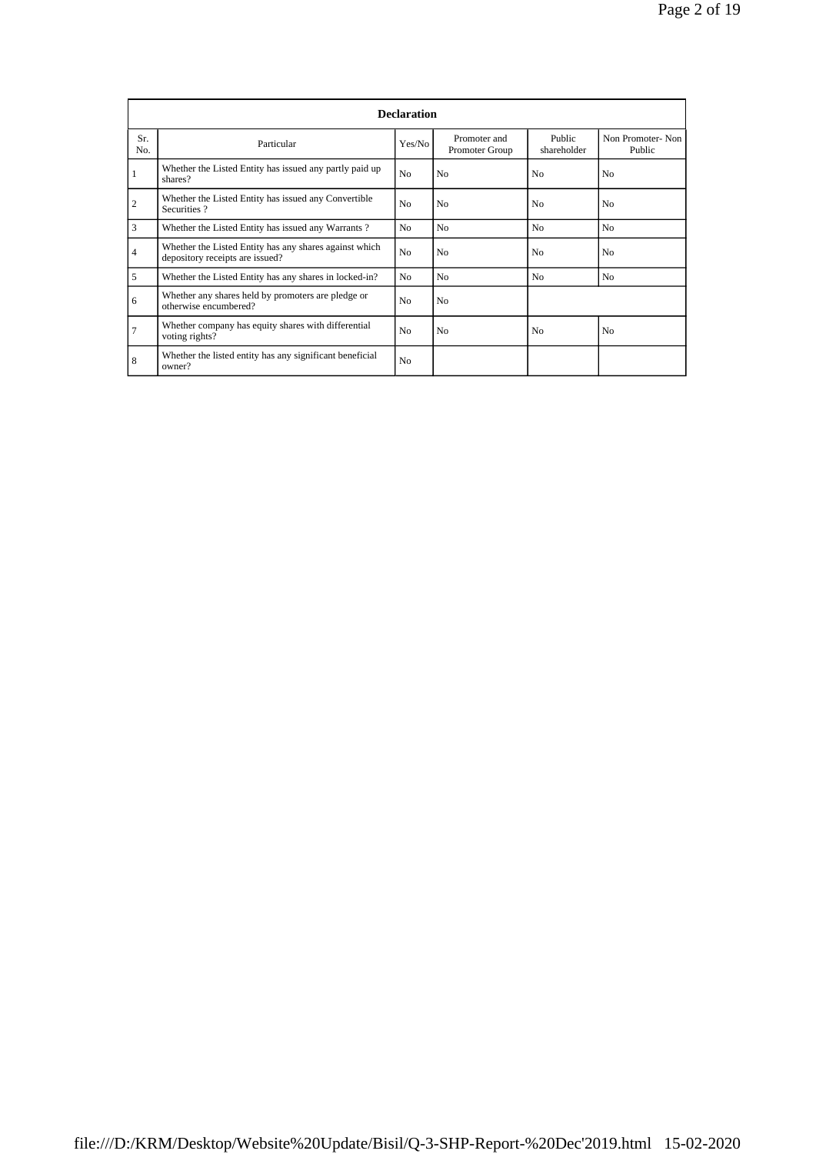| <b>Declaration</b> |                                                                                           |                |                                |                       |                            |  |  |
|--------------------|-------------------------------------------------------------------------------------------|----------------|--------------------------------|-----------------------|----------------------------|--|--|
| Sr.<br>No.         | Particular                                                                                | Yes/No         | Promoter and<br>Promoter Group | Public<br>shareholder | Non Promoter-Non<br>Public |  |  |
|                    | Whether the Listed Entity has issued any partly paid up<br>shares?                        | N <sub>o</sub> | N <sub>o</sub>                 | N <sub>0</sub>        | N <sub>0</sub>             |  |  |
| $\overline{c}$     | Whether the Listed Entity has issued any Convertible<br>Securities?                       | N <sub>o</sub> | N <sub>o</sub>                 | N <sub>0</sub>        | N <sub>0</sub>             |  |  |
| 3                  | Whether the Listed Entity has issued any Warrants?                                        | N <sub>0</sub> | N <sub>o</sub>                 | N <sub>0</sub>        | N <sub>0</sub>             |  |  |
| $\overline{4}$     | Whether the Listed Entity has any shares against which<br>depository receipts are issued? | N <sub>o</sub> | N <sub>o</sub>                 | N <sub>0</sub>        | N <sub>0</sub>             |  |  |
| 5                  | Whether the Listed Entity has any shares in locked-in?                                    | N <sub>0</sub> | N <sub>0</sub>                 | N <sub>0</sub>        | No                         |  |  |
| 6                  | Whether any shares held by promoters are pledge or<br>otherwise encumbered?               | N <sub>o</sub> | N <sub>o</sub>                 |                       |                            |  |  |
| $\overline{7}$     | Whether company has equity shares with differential<br>voting rights?                     | N <sub>o</sub> | No                             | N <sub>0</sub>        | N <sub>0</sub>             |  |  |
| 8                  | Whether the listed entity has any significant beneficial<br>owner?                        | N <sub>o</sub> |                                |                       |                            |  |  |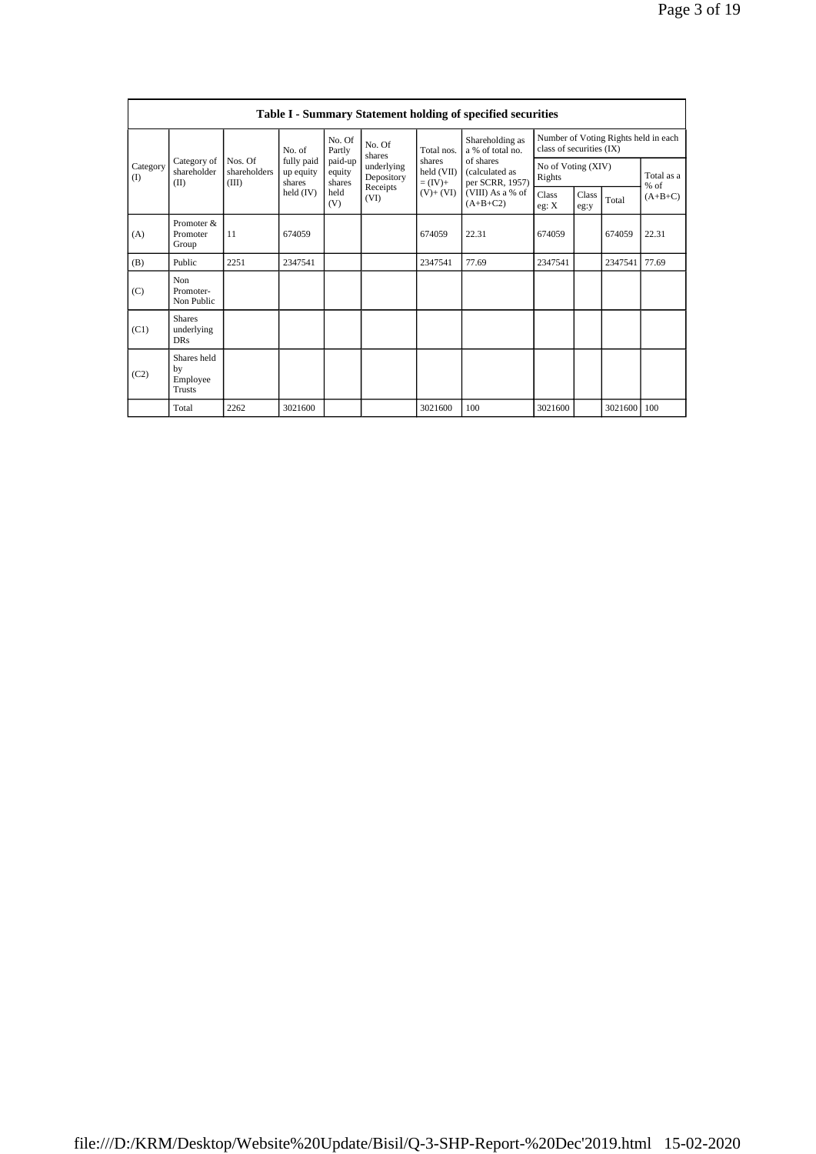|                 | <b>Table I - Summary Statement holding of specified securities</b> |                                  |                                   |                             |                          |                                  |                                                |                              |               |             |                                      |
|-----------------|--------------------------------------------------------------------|----------------------------------|-----------------------------------|-----------------------------|--------------------------|----------------------------------|------------------------------------------------|------------------------------|---------------|-------------|--------------------------------------|
|                 | Category of<br>shareholder<br>(II)                                 |                                  | No. of                            | No. Of<br>Partly            | No. Of<br>shares         | Total nos.                       | Shareholding as<br>a % of total no.            | class of securities (IX)     |               |             | Number of Voting Rights held in each |
| Category<br>(I) |                                                                    | Nos. Of<br>shareholders<br>(III) | fully paid<br>up equity<br>shares | paid-up<br>equity<br>shares | underlying<br>Depository | shares<br>held (VII)<br>$=(IV)+$ | of shares<br>(calculated as<br>per SCRR, 1957) | No of Voting (XIV)<br>Rights |               |             | Total as a<br>$%$ of                 |
|                 |                                                                    |                                  | held $(IV)$                       | held<br>(V)                 | Receipts<br>(VI)         | $(V)+(VI)$                       | (VIII) As a % of<br>$(A+B+C2)$                 | Class<br>eg: X               | Class<br>eg:y | Total       | $(A+B+C)$                            |
| (A)             | Promoter &<br>Promoter<br>Group                                    | 11                               | 674059                            |                             |                          | 674059                           | 22.31                                          | 674059                       |               | 674059      | 22.31                                |
| (B)             | Public                                                             | 2251                             | 2347541                           |                             |                          | 2347541                          | 77.69                                          | 2347541                      |               | 2347541     | 77.69                                |
| (C)             | Non<br>Promoter-<br>Non Public                                     |                                  |                                   |                             |                          |                                  |                                                |                              |               |             |                                      |
| (C1)            | <b>Shares</b><br>underlying<br><b>DRs</b>                          |                                  |                                   |                             |                          |                                  |                                                |                              |               |             |                                      |
| (C2)            | Shares held<br>by<br>Employee<br><b>Trusts</b>                     |                                  |                                   |                             |                          |                                  |                                                |                              |               |             |                                      |
|                 | Total                                                              | 2262                             | 3021600                           |                             |                          | 3021600                          | 100                                            | 3021600                      |               | 3021600 100 |                                      |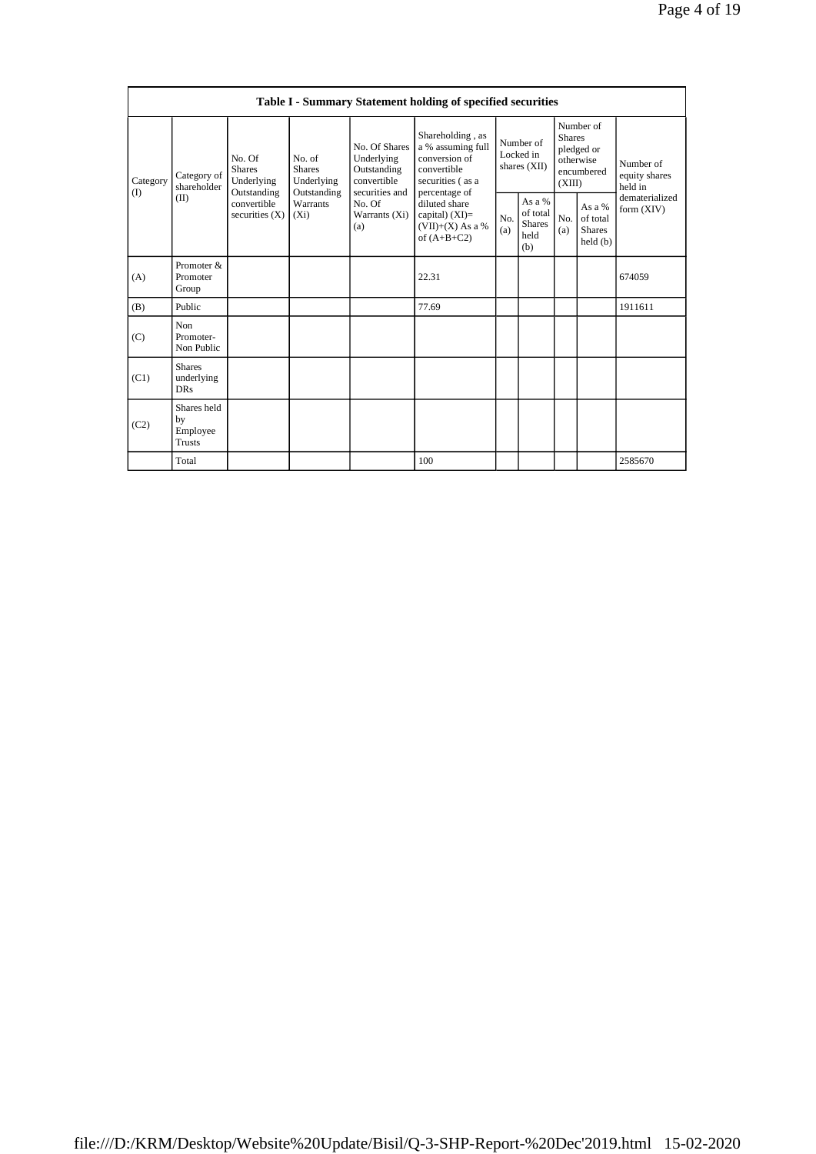|                 | Table I - Summary Statement holding of specified securities |                                                      |                                                      |                                                                             |                                                                                                            |            |                                                      |                         |                                                    |                                       |  |
|-----------------|-------------------------------------------------------------|------------------------------------------------------|------------------------------------------------------|-----------------------------------------------------------------------------|------------------------------------------------------------------------------------------------------------|------------|------------------------------------------------------|-------------------------|----------------------------------------------------|---------------------------------------|--|
| Category<br>(1) | Category of<br>shareholder<br>(II)                          | No. Of<br><b>Shares</b><br>Underlying<br>Outstanding | No. of<br><b>Shares</b><br>Underlying<br>Outstanding | No. Of Shares<br>Underlying<br>Outstanding<br>convertible<br>securities and | Shareholding, as<br>a % assuming full<br>conversion of<br>convertible<br>securities (as a<br>percentage of |            | Number of<br>Locked in<br>shares $(XII)$             | <b>Shares</b><br>(XIII) | Number of<br>pledged or<br>otherwise<br>encumbered | Number of<br>equity shares<br>held in |  |
|                 |                                                             | convertible<br>securities $(X)$<br>$(X_i)$           | Warrants                                             | No. Of<br>Warrants (Xi)<br>(a)                                              | diluted share<br>capital) $(XI)=$<br>$(VII)+(X)$ As a %<br>of $(A+B+C2)$                                   | No.<br>(a) | As $a\%$<br>of total<br><b>Shares</b><br>held<br>(b) | No.<br>(a)              | As a %<br>of total<br><b>Shares</b><br>held(b)     | dematerialized<br>form (XIV)          |  |
| (A)             | Promoter &<br>Promoter<br>Group                             |                                                      |                                                      |                                                                             | 22.31                                                                                                      |            |                                                      |                         |                                                    | 674059                                |  |
| (B)             | Public                                                      |                                                      |                                                      |                                                                             | 77.69                                                                                                      |            |                                                      |                         |                                                    | 1911611                               |  |
| (C)             | Non<br>Promoter-<br>Non Public                              |                                                      |                                                      |                                                                             |                                                                                                            |            |                                                      |                         |                                                    |                                       |  |
| (C1)            | <b>Shares</b><br>underlying<br><b>DRs</b>                   |                                                      |                                                      |                                                                             |                                                                                                            |            |                                                      |                         |                                                    |                                       |  |
| (C2)            | Shares held<br>by<br>Employee<br><b>Trusts</b>              |                                                      |                                                      |                                                                             |                                                                                                            |            |                                                      |                         |                                                    |                                       |  |
|                 | Total                                                       |                                                      |                                                      |                                                                             | 100                                                                                                        |            |                                                      |                         |                                                    | 2585670                               |  |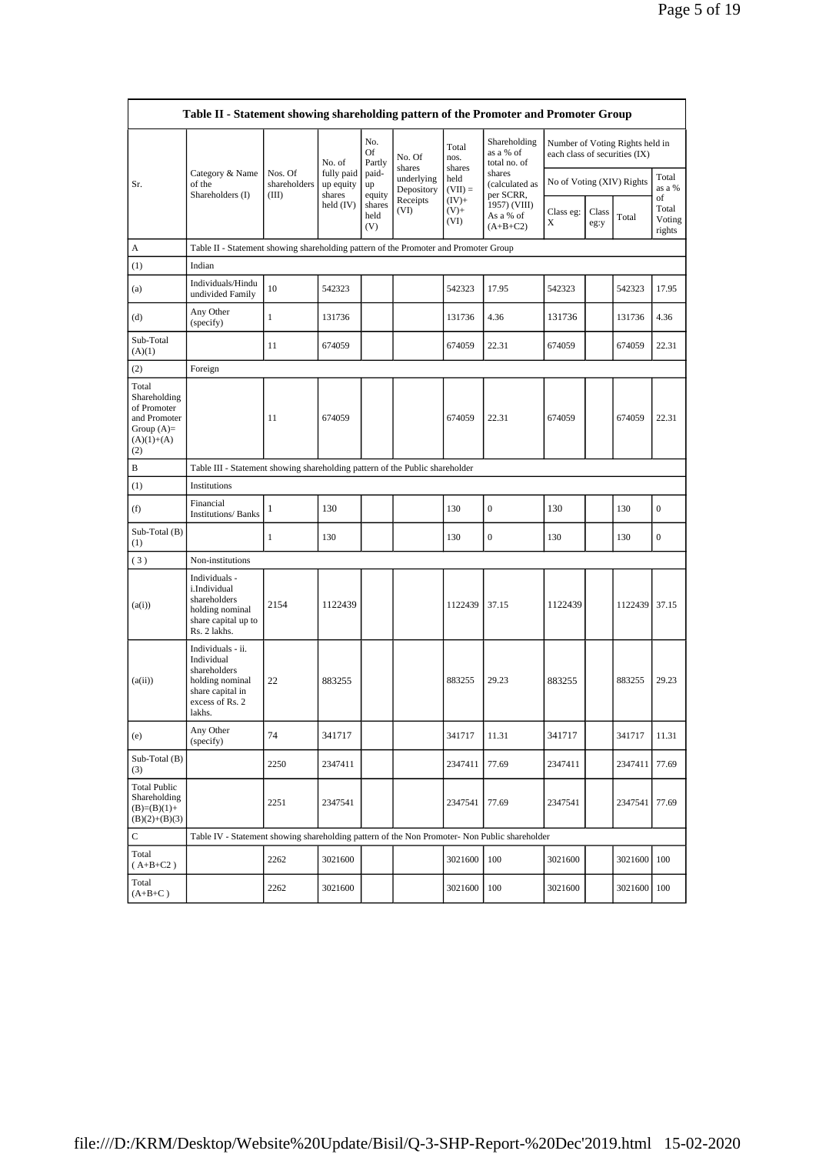|                                                                                             | Table II - Statement showing shareholding pattern of the Promoter and Promoter Group                                |                                  |                                   |                                 |                                    |                             |                                           |                                                                  |               |               |                                 |
|---------------------------------------------------------------------------------------------|---------------------------------------------------------------------------------------------------------------------|----------------------------------|-----------------------------------|---------------------------------|------------------------------------|-----------------------------|-------------------------------------------|------------------------------------------------------------------|---------------|---------------|---------------------------------|
|                                                                                             |                                                                                                                     |                                  | No. of                            | No.<br>Of<br>Partly             | No. Of                             | Total<br>nos.               | Shareholding<br>as a % of<br>total no. of | Number of Voting Rights held in<br>each class of securities (IX) |               |               |                                 |
| Sr.                                                                                         | Category & Name<br>of the                                                                                           | Nos. Of<br>shareholders<br>(III) | fully paid<br>up equity<br>shares | paid-<br>up                     | shares<br>underlying<br>Depository | shares<br>held<br>$(VII) =$ | shares<br>(calculated as<br>per SCRR,     | No of Voting (XIV) Rights                                        |               |               | Total<br>as a %                 |
|                                                                                             | Shareholders (I)                                                                                                    |                                  | held (IV)                         | equity<br>shares<br>held<br>(V) | Receipts<br>(VI)                   | $(IV)+$<br>$(V) +$<br>(VI)  | 1957) (VIII)<br>As a % of<br>$(A+B+C2)$   | Class eg:<br>Χ                                                   | Class<br>eg:y | Total         | of<br>Total<br>Voting<br>rights |
| A                                                                                           | Table II - Statement showing shareholding pattern of the Promoter and Promoter Group                                |                                  |                                   |                                 |                                    |                             |                                           |                                                                  |               |               |                                 |
| (1)                                                                                         | Indian                                                                                                              |                                  |                                   |                                 |                                    |                             |                                           |                                                                  |               |               |                                 |
| (a)                                                                                         | Individuals/Hindu<br>undivided Family                                                                               | 10                               | 542323                            |                                 |                                    | 542323                      | 17.95                                     | 542323                                                           |               | 542323        | 17.95                           |
| (d)                                                                                         | Any Other<br>(specify)                                                                                              | $\mathbf{1}$                     | 131736                            |                                 |                                    | 131736                      | 4.36                                      | 131736                                                           |               | 131736        | 4.36                            |
| Sub-Total<br>(A)(1)                                                                         |                                                                                                                     | 11                               | 674059                            |                                 |                                    | 674059                      | 22.31                                     | 674059                                                           |               | 674059        | 22.31                           |
| (2)                                                                                         | Foreign                                                                                                             |                                  |                                   |                                 |                                    |                             |                                           |                                                                  |               |               |                                 |
| Total<br>Shareholding<br>of Promoter<br>and Promoter<br>Group $(A)=$<br>$(A)(1)+(A)$<br>(2) |                                                                                                                     | 11                               | 674059                            |                                 |                                    | 674059                      | 22.31                                     | 674059                                                           |               | 674059        | 22.31                           |
| B                                                                                           | Table III - Statement showing shareholding pattern of the Public shareholder                                        |                                  |                                   |                                 |                                    |                             |                                           |                                                                  |               |               |                                 |
| (1)                                                                                         | Institutions                                                                                                        |                                  |                                   |                                 |                                    |                             |                                           |                                                                  |               |               |                                 |
| (f)                                                                                         | Financial<br><b>Institutions/Banks</b>                                                                              | 1                                | 130                               |                                 |                                    | 130                         | $\boldsymbol{0}$                          | 130                                                              |               | 130           | $\boldsymbol{0}$                |
| Sub-Total (B)<br>(1)                                                                        |                                                                                                                     | 1                                | 130                               |                                 |                                    | 130                         | $\mathbf{0}$                              | 130                                                              |               | 130           | 0                               |
| (3)                                                                                         | Non-institutions                                                                                                    |                                  |                                   |                                 |                                    |                             |                                           |                                                                  |               |               |                                 |
| (a(i))                                                                                      | Individuals -<br>i.Individual<br>shareholders<br>holding nominal<br>share capital up to<br>Rs. 2 lakhs.             | 2154                             | 1122439                           |                                 |                                    | 1122439                     | 37.15                                     | 1122439                                                          |               | 1122439       | 37.15                           |
| (a(ii))                                                                                     | Individuals - ii.<br>Individual<br>shareholders<br>holding nominal<br>share capital in<br>excess of Rs. 2<br>lakhs. | 22                               | 883255                            |                                 |                                    | 883255                      | 29.23                                     | 883255                                                           |               | 883255        | 29.23                           |
| (e)                                                                                         | Any Other<br>(specify)                                                                                              | 74                               | 341717                            |                                 |                                    | 341717                      | 11.31                                     | 341717                                                           |               | 341717        | 11.31                           |
| Sub-Total (B)<br>(3)                                                                        |                                                                                                                     | 2250                             | 2347411                           |                                 |                                    | 2347411                     | 77.69                                     | 2347411                                                          |               | 2347411       | 77.69                           |
| <b>Total Public</b><br>Shareholding<br>$(B)=(B)(1)+$<br>$(B)(2)+(B)(3)$                     |                                                                                                                     | 2251                             | 2347541                           |                                 |                                    | 2347541                     | 77.69                                     | 2347541                                                          |               | 2347541       | 77.69                           |
| C                                                                                           | Table IV - Statement showing shareholding pattern of the Non Promoter- Non Public shareholder                       |                                  |                                   |                                 |                                    |                             |                                           |                                                                  |               |               |                                 |
| Total<br>$(A+B+C2)$                                                                         |                                                                                                                     | 2262                             | 3021600                           |                                 |                                    | 3021600                     | 100                                       | 3021600                                                          |               | 3021600       | 100                             |
| Total<br>$(A+B+C)$                                                                          |                                                                                                                     | 2262                             | 3021600                           |                                 |                                    | 3021600                     | 100                                       | 3021600                                                          |               | 3021600   100 |                                 |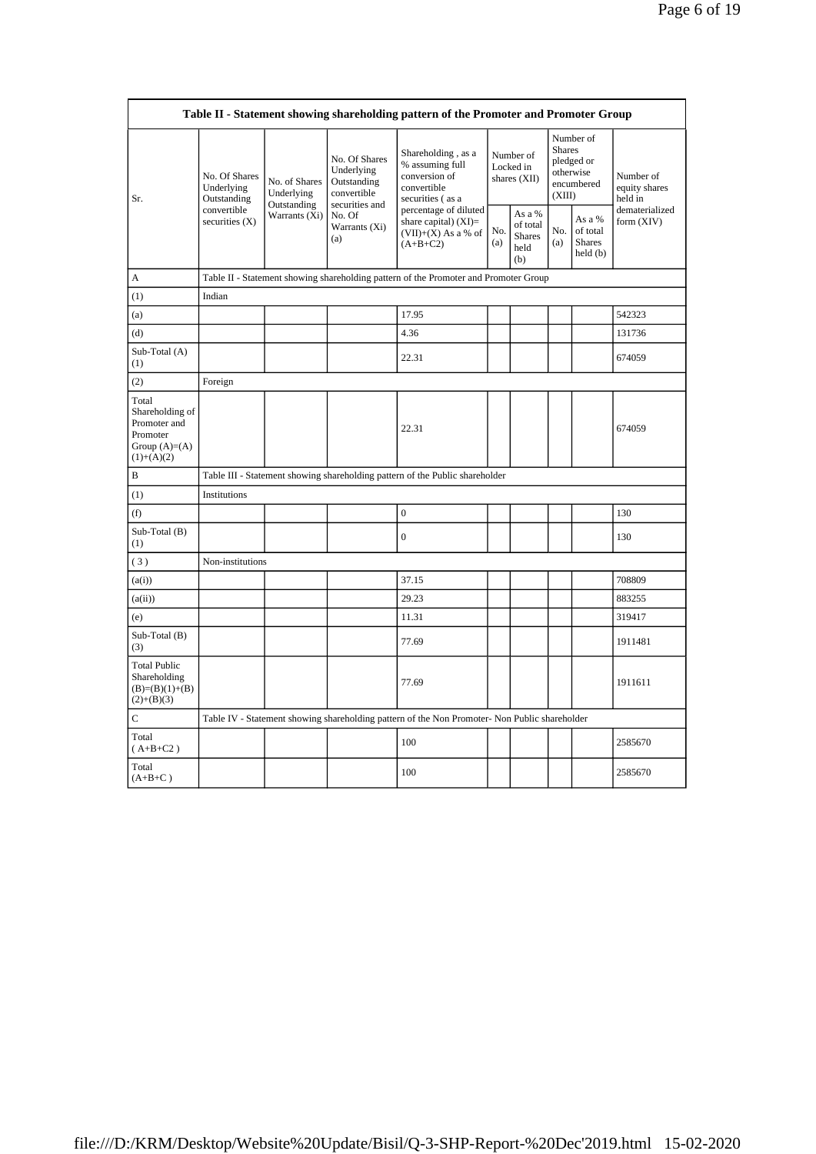| Table II - Statement showing shareholding pattern of the Promoter and Promoter Group    |                                                                               |                                                             |                                                                             |                                                                                               |            |                                                    |                                                                               |                                                |                                       |
|-----------------------------------------------------------------------------------------|-------------------------------------------------------------------------------|-------------------------------------------------------------|-----------------------------------------------------------------------------|-----------------------------------------------------------------------------------------------|------------|----------------------------------------------------|-------------------------------------------------------------------------------|------------------------------------------------|---------------------------------------|
| Sr.                                                                                     | No. Of Shares<br>Underlying<br>Outstanding<br>convertible<br>securities $(X)$ | No. of Shares<br>Underlying<br>Outstanding<br>Warrants (Xi) | No. Of Shares<br>Underlying<br>Outstanding<br>convertible<br>securities and | Shareholding, as a<br>% assuming full<br>conversion of<br>convertible<br>securities (as a     |            | Number of<br>Locked in<br>shares (XII)             | Number of<br><b>Shares</b><br>pledged or<br>otherwise<br>encumbered<br>(XIII) |                                                | Number of<br>equity shares<br>held in |
|                                                                                         |                                                                               |                                                             | No. Of<br>Warrants (Xi)<br>(a)                                              | percentage of diluted<br>share capital) $(XI)$ =<br>$(VII)+(X)$ As a % of<br>$(A+B+C2)$       | No.<br>(a) | As a %<br>of total<br><b>Shares</b><br>held<br>(b) | No.<br>(a)                                                                    | As a %<br>of total<br><b>Shares</b><br>held(b) | dematerialized<br>form (XIV)          |
| A                                                                                       |                                                                               |                                                             |                                                                             | Table II - Statement showing shareholding pattern of the Promoter and Promoter Group          |            |                                                    |                                                                               |                                                |                                       |
| (1)                                                                                     | Indian                                                                        |                                                             |                                                                             |                                                                                               |            |                                                    |                                                                               |                                                |                                       |
| (a)                                                                                     |                                                                               |                                                             |                                                                             | 17.95                                                                                         |            |                                                    |                                                                               |                                                | 542323                                |
| (d)                                                                                     |                                                                               |                                                             |                                                                             | 4.36                                                                                          |            |                                                    |                                                                               |                                                | 131736                                |
| Sub-Total (A)<br>(1)                                                                    |                                                                               |                                                             |                                                                             | 22.31                                                                                         |            |                                                    |                                                                               |                                                | 674059                                |
| (2)                                                                                     | Foreign                                                                       |                                                             |                                                                             |                                                                                               |            |                                                    |                                                                               |                                                |                                       |
| Total<br>Shareholding of<br>Promoter and<br>Promoter<br>Group $(A)=(A)$<br>$(1)+(A)(2)$ |                                                                               |                                                             |                                                                             | 22.31                                                                                         |            |                                                    |                                                                               |                                                | 674059                                |
| B                                                                                       | Table III - Statement showing shareholding pattern of the Public shareholder  |                                                             |                                                                             |                                                                                               |            |                                                    |                                                                               |                                                |                                       |
| (1)                                                                                     | Institutions                                                                  |                                                             |                                                                             |                                                                                               |            |                                                    |                                                                               |                                                |                                       |
| (f)                                                                                     |                                                                               |                                                             |                                                                             | $\boldsymbol{0}$                                                                              |            |                                                    |                                                                               |                                                | 130                                   |
| Sub-Total (B)<br>(1)                                                                    |                                                                               |                                                             |                                                                             | $\overline{0}$                                                                                |            |                                                    |                                                                               |                                                | 130                                   |
| (3)                                                                                     | Non-institutions                                                              |                                                             |                                                                             |                                                                                               |            |                                                    |                                                                               |                                                |                                       |
| (a(i))                                                                                  |                                                                               |                                                             |                                                                             | 37.15                                                                                         |            |                                                    |                                                                               |                                                | 708809                                |
| (a(ii))                                                                                 |                                                                               |                                                             |                                                                             | 29.23                                                                                         |            |                                                    |                                                                               |                                                | 883255                                |
| (e)                                                                                     |                                                                               |                                                             |                                                                             | 11.31                                                                                         |            |                                                    |                                                                               |                                                | 319417                                |
| Sub-Total (B)<br>(3)                                                                    |                                                                               |                                                             |                                                                             | 77.69                                                                                         |            |                                                    |                                                                               |                                                | 1911481                               |
| <b>Total Public</b><br>Shareholding<br>$(B)=(B)(1)+(B)$<br>$(2)+(B)(3)$                 |                                                                               |                                                             |                                                                             | 77.69                                                                                         |            |                                                    |                                                                               |                                                | 1911611                               |
| $\mathsf{C}$                                                                            |                                                                               |                                                             |                                                                             | Table IV - Statement showing shareholding pattern of the Non Promoter- Non Public shareholder |            |                                                    |                                                                               |                                                |                                       |
| Total<br>$(A+B+C2)$                                                                     |                                                                               |                                                             |                                                                             | 100                                                                                           |            |                                                    |                                                                               |                                                | 2585670                               |
| Total<br>$(A+B+C\,)$                                                                    |                                                                               |                                                             |                                                                             | 100                                                                                           |            |                                                    |                                                                               |                                                | 2585670                               |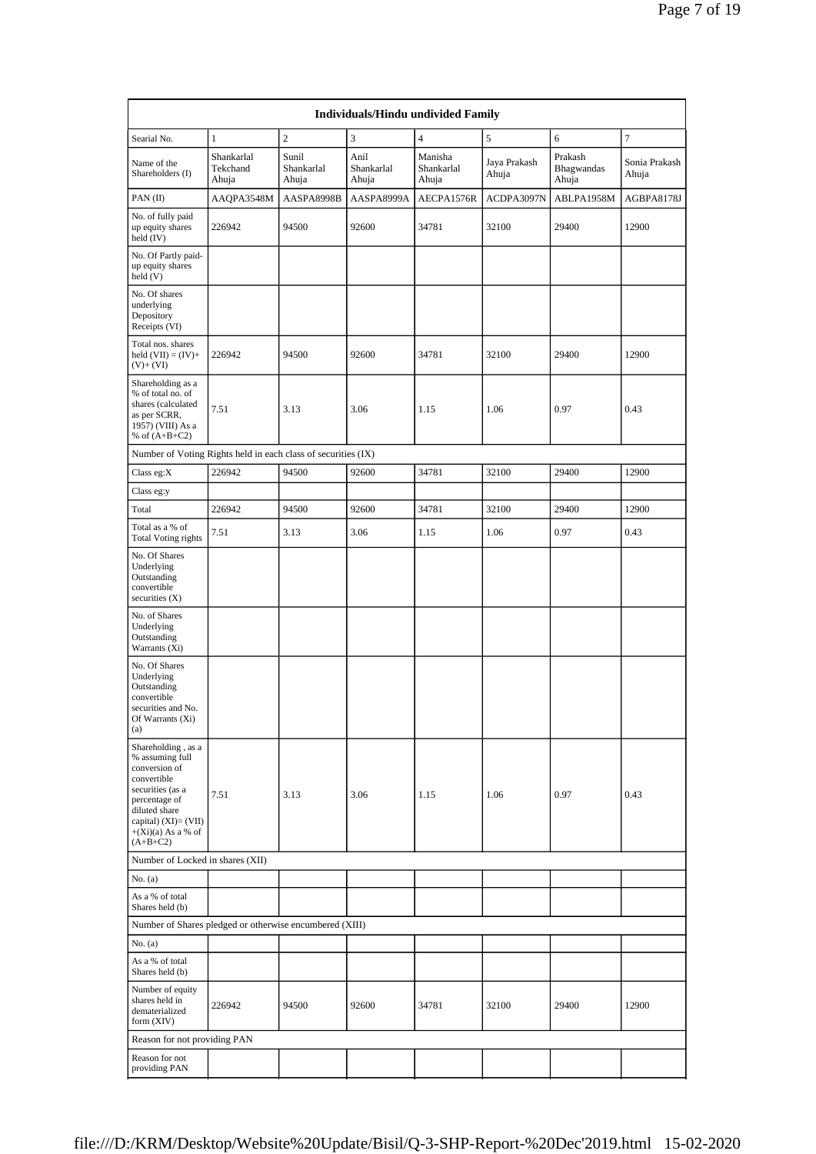| Searial No.                                                                                                                                                                                | $\mathbf{1}$                    | $\sqrt{2}$                   | 3                           | $\overline{4}$                 | 5                     | 6                              | $\overline{7}$         |
|--------------------------------------------------------------------------------------------------------------------------------------------------------------------------------------------|---------------------------------|------------------------------|-----------------------------|--------------------------------|-----------------------|--------------------------------|------------------------|
|                                                                                                                                                                                            |                                 |                              |                             |                                |                       |                                |                        |
| Name of the<br>Shareholders (I)                                                                                                                                                            | Shankarlal<br>Tekchand<br>Ahuja | Sunil<br>Shankarlal<br>Ahuja | Anil<br>Shankarlal<br>Ahuja | Manisha<br>Shankarlal<br>Ahuja | Jaya Prakash<br>Ahuja | Prakash<br>Bhagwandas<br>Ahuja | Sonia Prakash<br>Ahuja |
| $PAN$ (II)                                                                                                                                                                                 | AAOPA3548M                      | AASPA8998B                   | AASPA8999A                  | AECPA1576R                     | ACDPA3097N            | ABLPA1958M                     | AGBPA8178J             |
| No. of fully paid<br>up equity shares<br>held (IV)                                                                                                                                         | 226942                          | 94500                        | 92600                       | 34781                          | 32100                 | 29400                          | 12900                  |
| No. Of Partly paid-<br>up equity shares<br>held (V)                                                                                                                                        |                                 |                              |                             |                                |                       |                                |                        |
| No. Of shares<br>underlying<br>Depository<br>Receipts (VI)                                                                                                                                 |                                 |                              |                             |                                |                       |                                |                        |
| Total nos. shares<br>held $(VII) = (IV) +$<br>$(V)+(VI)$                                                                                                                                   | 226942                          | 94500                        | 92600                       | 34781                          | 32100                 | 29400                          | 12900                  |
| Shareholding as a<br>% of total no. of<br>shares (calculated<br>as per SCRR,<br>1957) (VIII) As a<br>% of $(A+B+C2)$                                                                       | 7.51                            | 3.13                         | 3.06                        | 1.15                           | 1.06                  | 0.97                           | 0.43                   |
| Number of Voting Rights held in each class of securities (IX)                                                                                                                              |                                 |                              |                             |                                |                       |                                |                        |
| Class eg: $X$                                                                                                                                                                              | 226942                          | 94500                        | 92600                       | 34781                          | 32100                 | 29400                          | 12900                  |
| Class eg:y                                                                                                                                                                                 |                                 |                              |                             |                                |                       |                                |                        |
| Total                                                                                                                                                                                      | 226942                          | 94500                        | 92600                       | 34781                          | 32100                 | 29400                          | 12900                  |
| Total as a % of<br><b>Total Voting rights</b>                                                                                                                                              | 7.51                            | 3.13                         | 3.06                        | 1.15                           | 1.06                  | 0.97                           | 0.43                   |
| No. Of Shares<br>Underlying<br>Outstanding<br>convertible<br>securities $(X)$                                                                                                              |                                 |                              |                             |                                |                       |                                |                        |
| No. of Shares<br>Underlying<br>Outstanding<br>Warrants (Xi)                                                                                                                                |                                 |                              |                             |                                |                       |                                |                        |
| No. Of Shares<br>Underlying<br>Outstanding<br>convertible<br>securities and No.<br>Of Warrants (Xi)<br>(a)                                                                                 |                                 |                              |                             |                                |                       |                                |                        |
| Shareholding, as a<br>% assuming full<br>conversion of<br>convertible<br>securities (as a<br>percentage of<br>diluted share<br>capital) $(XI)=(VII)$<br>$+(Xi)(a)$ As a % of<br>$(A+B+C2)$ | 7.51                            | 3.13                         | 3.06                        | 1.15                           | 1.06                  | 0.97                           | 0.43                   |
| Number of Locked in shares (XII)                                                                                                                                                           |                                 |                              |                             |                                |                       |                                |                        |
| No. (a)                                                                                                                                                                                    |                                 |                              |                             |                                |                       |                                |                        |
| As a % of total<br>Shares held (b)                                                                                                                                                         |                                 |                              |                             |                                |                       |                                |                        |
| Number of Shares pledged or otherwise encumbered (XIII)                                                                                                                                    |                                 |                              |                             |                                |                       |                                |                        |
| No. (a)                                                                                                                                                                                    |                                 |                              |                             |                                |                       |                                |                        |
| As a % of total<br>Shares held (b)                                                                                                                                                         |                                 |                              |                             |                                |                       |                                |                        |
| Number of equity<br>shares held in<br>dematerialized<br>form (XIV)                                                                                                                         | 226942                          | 94500                        | 92600                       | 34781                          | 32100                 | 29400                          | 12900                  |
| Reason for not providing PAN                                                                                                                                                               |                                 |                              |                             |                                |                       |                                |                        |
| Reason for not<br>providing PAN                                                                                                                                                            |                                 |                              |                             |                                |                       |                                |                        |
|                                                                                                                                                                                            |                                 |                              |                             |                                |                       |                                |                        |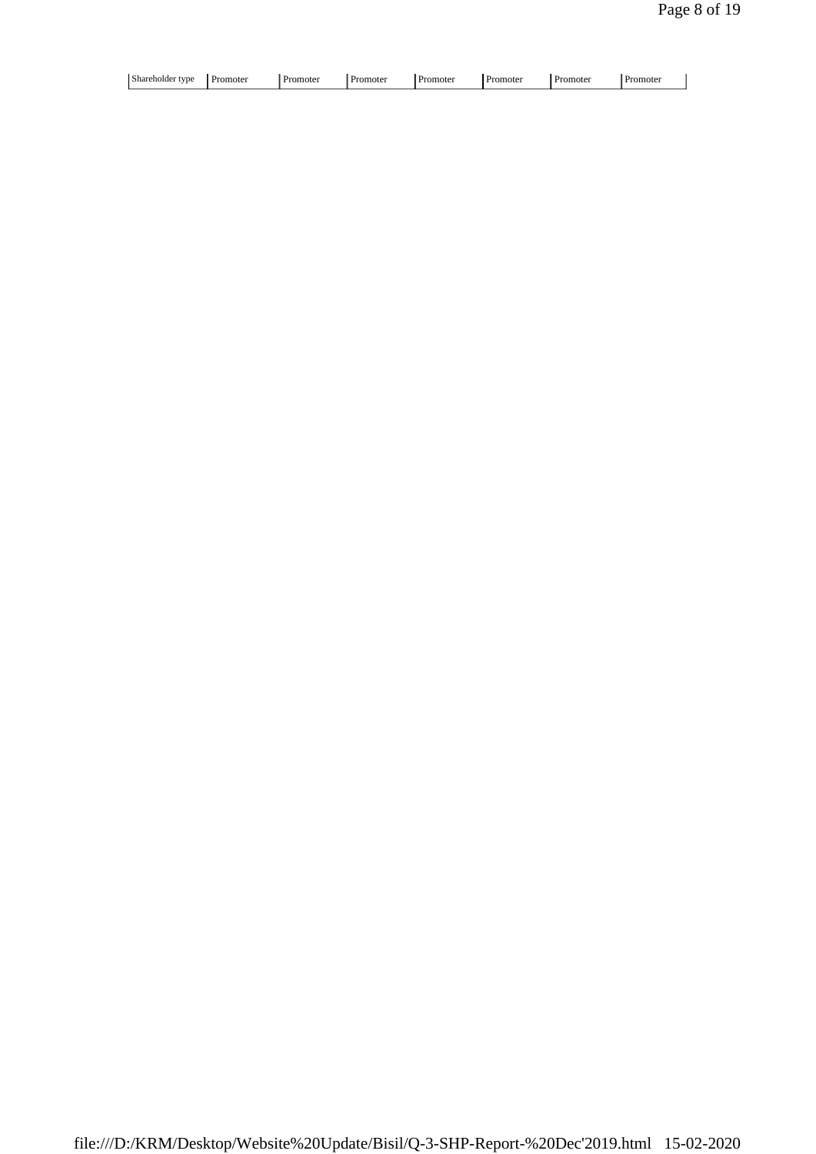| Shareholder type<br>. . | noter | mote• | . Promoter | omoter | .omoter | Promote <sup>®</sup> | omoter |  |
|-------------------------|-------|-------|------------|--------|---------|----------------------|--------|--|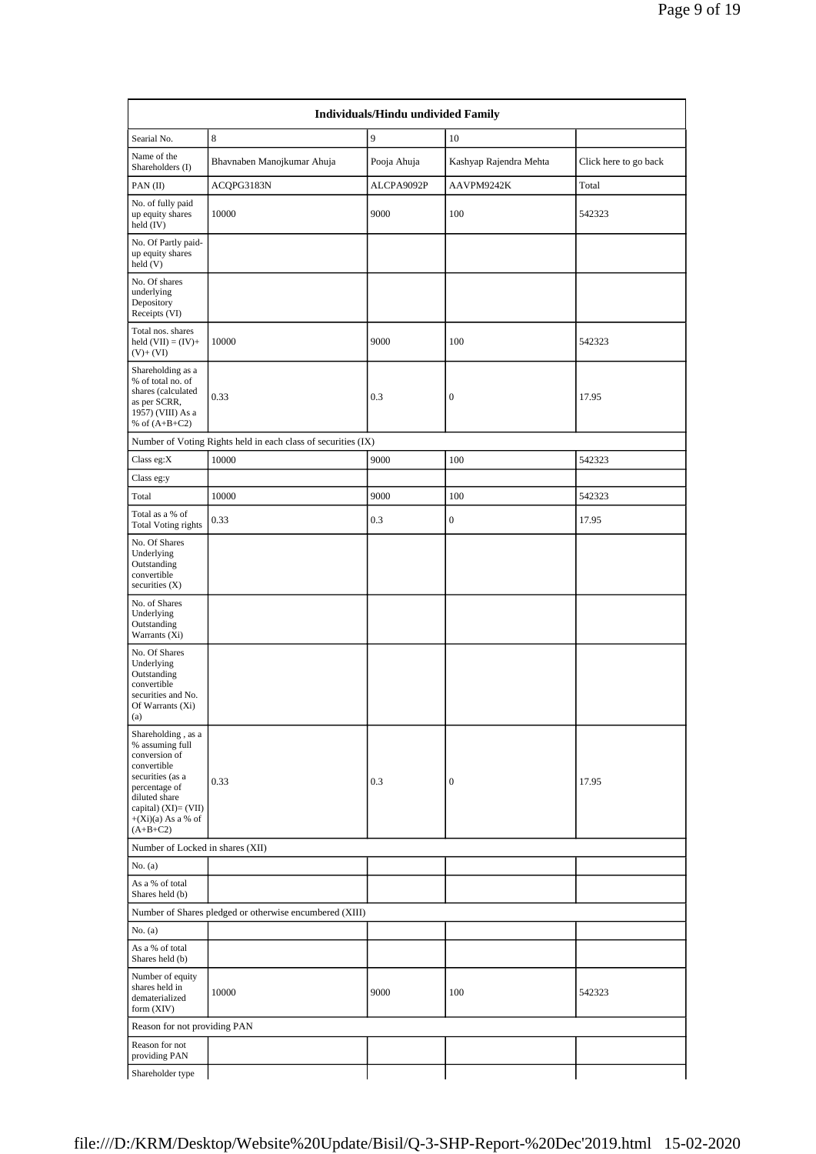| Individuals/Hindu undivided Family                                                                                                                                                        |                                                               |             |                        |                       |  |  |  |  |
|-------------------------------------------------------------------------------------------------------------------------------------------------------------------------------------------|---------------------------------------------------------------|-------------|------------------------|-----------------------|--|--|--|--|
| Searial No.                                                                                                                                                                               | 8                                                             | 9           | 10                     |                       |  |  |  |  |
| Name of the<br>Shareholders (I)                                                                                                                                                           | Bhavnaben Manojkumar Ahuja                                    | Pooja Ahuja | Kashyap Rajendra Mehta | Click here to go back |  |  |  |  |
| $PAN$ (II)                                                                                                                                                                                | ACQPG3183N                                                    | ALCPA9092P  | AAVPM9242K             | Total                 |  |  |  |  |
| No. of fully paid<br>up equity shares<br>held $(IV)$                                                                                                                                      | 10000                                                         | 9000        | 100                    | 542323                |  |  |  |  |
| No. Of Partly paid-<br>up equity shares<br>held (V)                                                                                                                                       |                                                               |             |                        |                       |  |  |  |  |
| No. Of shares<br>underlying<br>Depository<br>Receipts (VI)                                                                                                                                |                                                               |             |                        |                       |  |  |  |  |
| Total nos. shares<br>held $(VII) = (IV) +$<br>$(V)+(VI)$                                                                                                                                  | 10000                                                         | 9000        | 100                    | 542323                |  |  |  |  |
| Shareholding as a<br>% of total no. of<br>shares (calculated<br>as per SCRR,<br>1957) (VIII) As a<br>% of $(A+B+C2)$                                                                      | 0.33                                                          | 0.3         | $\boldsymbol{0}$       | 17.95                 |  |  |  |  |
|                                                                                                                                                                                           | Number of Voting Rights held in each class of securities (IX) |             |                        |                       |  |  |  |  |
| Class eg: $X$                                                                                                                                                                             | 10000                                                         | 9000        | 100                    | 542323                |  |  |  |  |
| Class eg:y                                                                                                                                                                                |                                                               |             |                        |                       |  |  |  |  |
| Total                                                                                                                                                                                     | 10000                                                         | 9000        | 100                    | 542323                |  |  |  |  |
| Total as a % of<br><b>Total Voting rights</b>                                                                                                                                             | 0.33                                                          | 0.3         | $\boldsymbol{0}$       | 17.95                 |  |  |  |  |
| No. Of Shares<br>Underlying<br>Outstanding<br>convertible<br>securities $(X)$                                                                                                             |                                                               |             |                        |                       |  |  |  |  |
| No. of Shares<br>Underlying<br>Outstanding<br>Warrants (Xi)                                                                                                                               |                                                               |             |                        |                       |  |  |  |  |
| No. Of Shares<br>Underlying<br>Outstanding<br>convertible<br>securities and No.<br>Of Warrants (Xi)<br>(a)                                                                                |                                                               |             |                        |                       |  |  |  |  |
| Shareholding, as a<br>% assuming full<br>conversion of<br>convertible<br>securities (as a<br>percentage of<br>diluted share<br>capital) (XI)= (VII)<br>$+(Xi)(a)$ As a % of<br>$(A+B+C2)$ | 0.33                                                          | 0.3         | $\boldsymbol{0}$       | 17.95                 |  |  |  |  |
| Number of Locked in shares (XII)                                                                                                                                                          |                                                               |             |                        |                       |  |  |  |  |
| No. (a)                                                                                                                                                                                   |                                                               |             |                        |                       |  |  |  |  |
| As a % of total<br>Shares held (b)                                                                                                                                                        |                                                               |             |                        |                       |  |  |  |  |
|                                                                                                                                                                                           | Number of Shares pledged or otherwise encumbered (XIII)       |             |                        |                       |  |  |  |  |
| No. (a)                                                                                                                                                                                   |                                                               |             |                        |                       |  |  |  |  |
| As a % of total<br>Shares held (b)                                                                                                                                                        |                                                               |             |                        |                       |  |  |  |  |
| Number of equity<br>shares held in<br>dematerialized<br>form (XIV)                                                                                                                        | 10000                                                         | 9000        | 100                    | 542323                |  |  |  |  |
| Reason for not providing PAN                                                                                                                                                              |                                                               |             |                        |                       |  |  |  |  |
| Reason for not<br>providing PAN                                                                                                                                                           |                                                               |             |                        |                       |  |  |  |  |
| Shareholder type                                                                                                                                                                          |                                                               |             |                        |                       |  |  |  |  |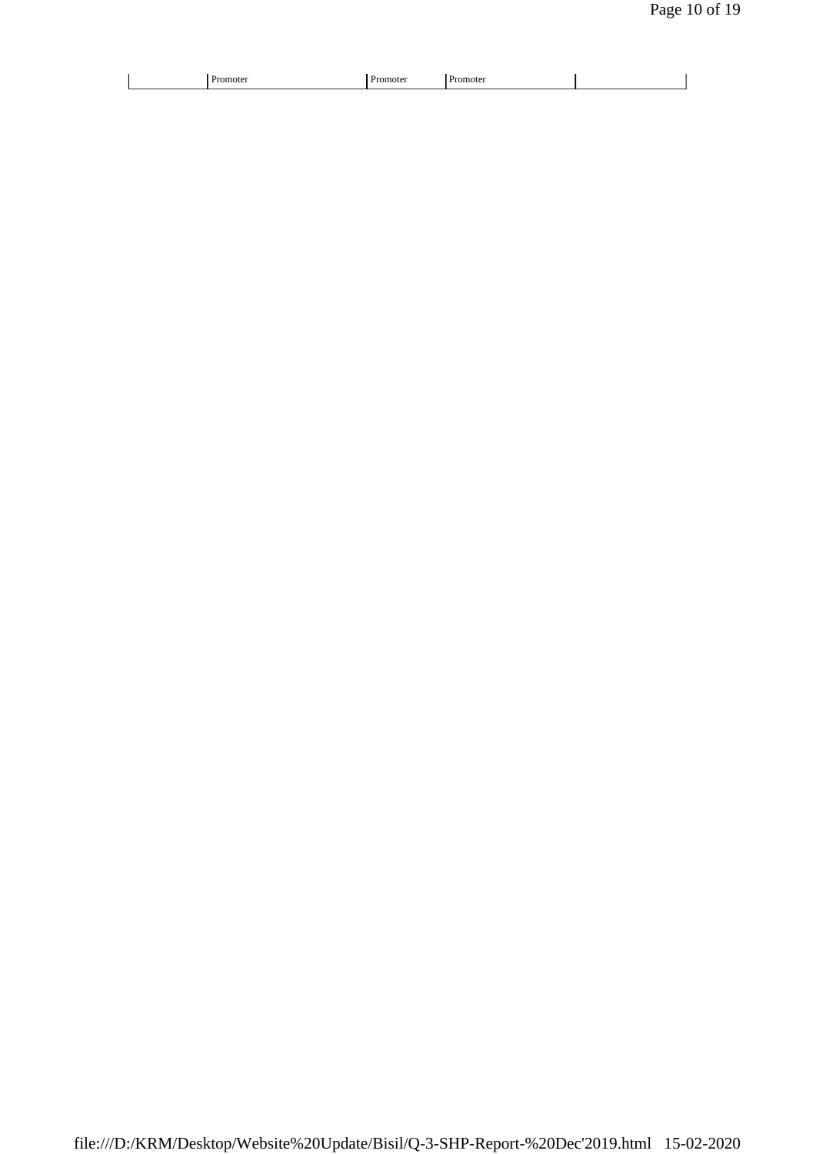|--|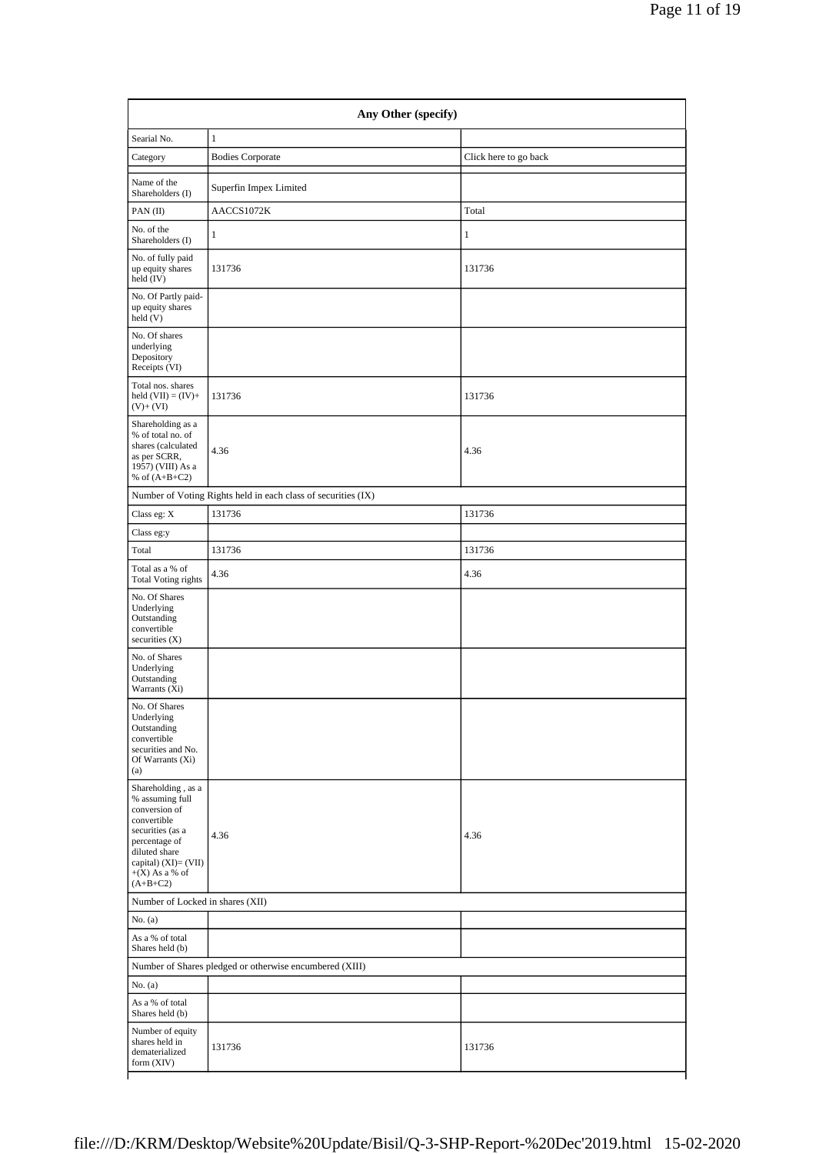| Any Other (specify)                                                                                                                                                                   |                                                               |                       |  |  |  |  |  |
|---------------------------------------------------------------------------------------------------------------------------------------------------------------------------------------|---------------------------------------------------------------|-----------------------|--|--|--|--|--|
| Searial No.                                                                                                                                                                           | $\mathbf{1}$                                                  |                       |  |  |  |  |  |
| Category                                                                                                                                                                              | <b>Bodies Corporate</b>                                       | Click here to go back |  |  |  |  |  |
| Name of the<br>Shareholders (I)                                                                                                                                                       | Superfin Impex Limited                                        |                       |  |  |  |  |  |
| PAN(II)                                                                                                                                                                               | AACCS1072K                                                    | Total                 |  |  |  |  |  |
| No. of the<br>Shareholders (I)                                                                                                                                                        | 1                                                             | $\mathbf{1}$          |  |  |  |  |  |
| No. of fully paid<br>up equity shares<br>held (IV)                                                                                                                                    | 131736                                                        | 131736                |  |  |  |  |  |
| No. Of Partly paid-<br>up equity shares<br>held (V)                                                                                                                                   |                                                               |                       |  |  |  |  |  |
| No. Of shares<br>underlying<br>Depository<br>Receipts (VI)                                                                                                                            |                                                               |                       |  |  |  |  |  |
| Total nos. shares<br>held $(VII) = (IV) +$<br>$(V)+(VI)$                                                                                                                              | 131736                                                        | 131736                |  |  |  |  |  |
| Shareholding as a<br>% of total no. of<br>shares (calculated<br>as per SCRR,<br>1957) (VIII) As a<br>% of $(A+B+C2)$                                                                  | 4.36                                                          | 4.36                  |  |  |  |  |  |
|                                                                                                                                                                                       | Number of Voting Rights held in each class of securities (IX) |                       |  |  |  |  |  |
| Class eg: $\mathbf X$                                                                                                                                                                 | 131736                                                        | 131736                |  |  |  |  |  |
| Class eg:y                                                                                                                                                                            |                                                               |                       |  |  |  |  |  |
| Total                                                                                                                                                                                 | 131736                                                        | 131736                |  |  |  |  |  |
| Total as a % of<br><b>Total Voting rights</b>                                                                                                                                         | 4.36                                                          | 4.36                  |  |  |  |  |  |
| No. Of Shares<br>Underlying<br>Outstanding<br>convertible<br>securities $(X)$                                                                                                         |                                                               |                       |  |  |  |  |  |
| No. of Shares<br>Underlying<br>Outstanding<br>Warrants (Xi)                                                                                                                           |                                                               |                       |  |  |  |  |  |
| No. Of Shares<br>Underlying<br>Outstanding<br>convertible<br>securities and No.<br>Of Warrants (Xi)<br>(a)                                                                            |                                                               |                       |  |  |  |  |  |
| Shareholding, as a<br>% assuming full<br>conversion of<br>convertible<br>securities (as a<br>percentage of<br>diluted share<br>capital) (XI)= (VII)<br>$+(X)$ As a % of<br>$(A+B+C2)$ | 4.36                                                          | 4.36                  |  |  |  |  |  |
| Number of Locked in shares (XII)                                                                                                                                                      |                                                               |                       |  |  |  |  |  |
| No. (a)                                                                                                                                                                               |                                                               |                       |  |  |  |  |  |
| As a % of total<br>Shares held (b)                                                                                                                                                    |                                                               |                       |  |  |  |  |  |
|                                                                                                                                                                                       | Number of Shares pledged or otherwise encumbered (XIII)       |                       |  |  |  |  |  |
| No. (a)                                                                                                                                                                               |                                                               |                       |  |  |  |  |  |
| As a % of total<br>Shares held (b)                                                                                                                                                    |                                                               |                       |  |  |  |  |  |
| Number of equity<br>shares held in<br>dematerialized<br>form (XIV)                                                                                                                    | 131736                                                        | 131736                |  |  |  |  |  |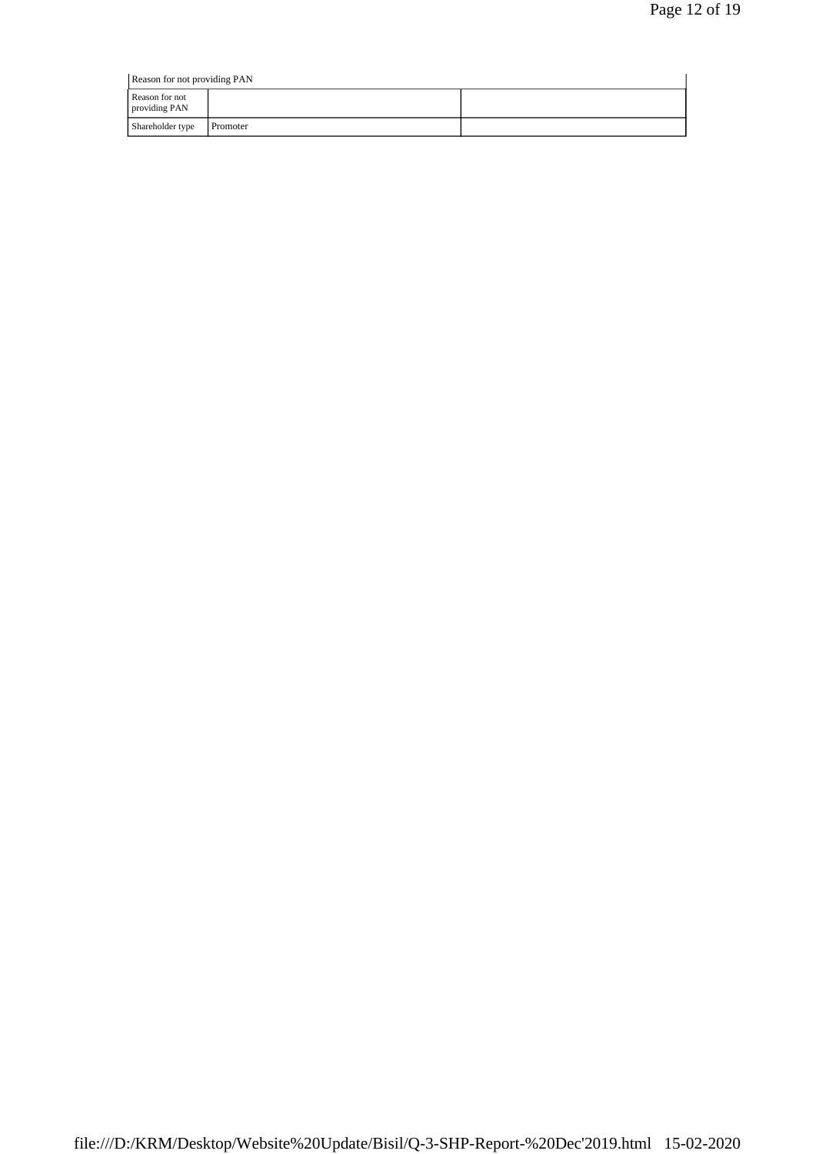| Reason for not providing PAN    |          |  |
|---------------------------------|----------|--|
| Reason for not<br>providing PAN |          |  |
| Shareholder type                | Promoter |  |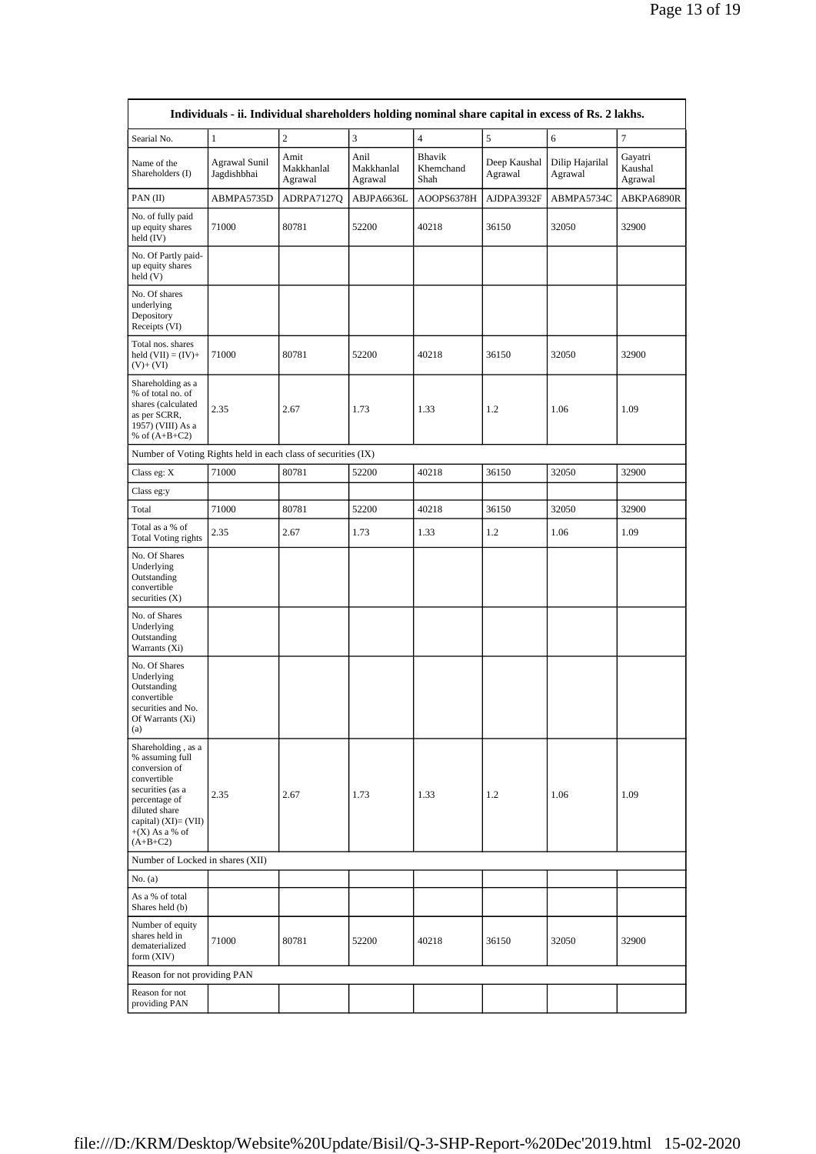| Individuals - ii. Individual shareholders holding nominal share capital in excess of Rs. 2 lakhs.                                                                                        |                                     |                               |                               |                             |                         |                            |                               |
|------------------------------------------------------------------------------------------------------------------------------------------------------------------------------------------|-------------------------------------|-------------------------------|-------------------------------|-----------------------------|-------------------------|----------------------------|-------------------------------|
| Searial No.                                                                                                                                                                              | $\mathbf{1}$                        | $\overline{2}$                | $\overline{3}$                | $\overline{4}$              | 5                       | $\sqrt{6}$                 | 7                             |
| Name of the<br>Shareholders (I)                                                                                                                                                          | <b>Agrawal Sunil</b><br>Jagdishbhai | Amit<br>Makkhanlal<br>Agrawal | Anil<br>Makkhanlal<br>Agrawal | Bhavik<br>Khemchand<br>Shah | Deep Kaushal<br>Agrawal | Dilip Hajarilal<br>Agrawal | Gayatri<br>Kaushal<br>Agrawal |
| PAN(II)                                                                                                                                                                                  | ABMPA5735D                          | ADRPA7127Q                    | ABJPA6636L                    | AOOPS6378H                  | AJDPA3932F              | ABMPA5734C                 | ABKPA6890R                    |
| No. of fully paid<br>up equity shares<br>held (IV)                                                                                                                                       | 71000                               | 80781                         | 52200                         | 40218                       | 36150                   | 32050                      | 32900                         |
| No. Of Partly paid-<br>up equity shares<br>held (V)                                                                                                                                      |                                     |                               |                               |                             |                         |                            |                               |
| No. Of shares<br>underlying<br>Depository<br>Receipts (VI)                                                                                                                               |                                     |                               |                               |                             |                         |                            |                               |
| Total nos. shares<br>held $(VII) = (IV) +$<br>$(V)+(VI)$                                                                                                                                 | 71000                               | 80781                         | 52200                         | 40218                       | 36150                   | 32050                      | 32900                         |
| Shareholding as a<br>% of total no. of<br>shares (calculated<br>as per SCRR,<br>1957) (VIII) As a<br>% of $(A+B+C2)$                                                                     | 2.35                                | 2.67                          | 1.73                          | 1.33                        | 1.2                     | 1.06                       | 1.09                          |
| Number of Voting Rights held in each class of securities (IX)                                                                                                                            |                                     |                               |                               |                             |                         |                            |                               |
| Class eg: X                                                                                                                                                                              | 71000                               | 80781                         | 52200                         | 40218                       | 36150                   | 32050                      | 32900                         |
| Class eg:y                                                                                                                                                                               |                                     |                               |                               |                             |                         |                            |                               |
| Total                                                                                                                                                                                    | 71000                               | 80781                         | 52200                         | 40218                       | 36150                   | 32050                      | 32900                         |
| Total as a % of<br><b>Total Voting rights</b>                                                                                                                                            | 2.35                                | 2.67                          | 1.73                          | 1.33                        | 1.2                     | 1.06                       | 1.09                          |
| No. Of Shares<br>Underlying<br>Outstanding<br>convertible<br>securities $(X)$                                                                                                            |                                     |                               |                               |                             |                         |                            |                               |
| No. of Shares<br>Underlying<br>Outstanding<br>Warrants (Xi)                                                                                                                              |                                     |                               |                               |                             |                         |                            |                               |
| No. Of Shares<br>Underlying<br>Outstanding<br>convertible<br>securities and No.<br>Of Warrants $(Xi)$<br>(a)                                                                             |                                     |                               |                               |                             |                         |                            |                               |
| Shareholding, as a<br>% assuming full<br>conversion of<br>convertible<br>securities (as a<br>percentage of<br>diluted share<br>capital) $(XI) = (VII)$<br>$+(X)$ As a % of<br>$(A+B+C2)$ | 2.35                                | 2.67                          | 1.73                          | 1.33                        | 1.2                     | 1.06                       | 1.09                          |
| Number of Locked in shares (XII)                                                                                                                                                         |                                     |                               |                               |                             |                         |                            |                               |
| No. (a)                                                                                                                                                                                  |                                     |                               |                               |                             |                         |                            |                               |
| As a % of total<br>Shares held (b)                                                                                                                                                       |                                     |                               |                               |                             |                         |                            |                               |
| Number of equity<br>shares held in<br>dematerialized<br>form (XIV)                                                                                                                       | 71000                               | 80781                         | 52200                         | 40218                       | 36150                   | 32050                      | 32900                         |
| Reason for not providing PAN                                                                                                                                                             |                                     |                               |                               |                             |                         |                            |                               |
| Reason for not<br>providing PAN                                                                                                                                                          |                                     |                               |                               |                             |                         |                            |                               |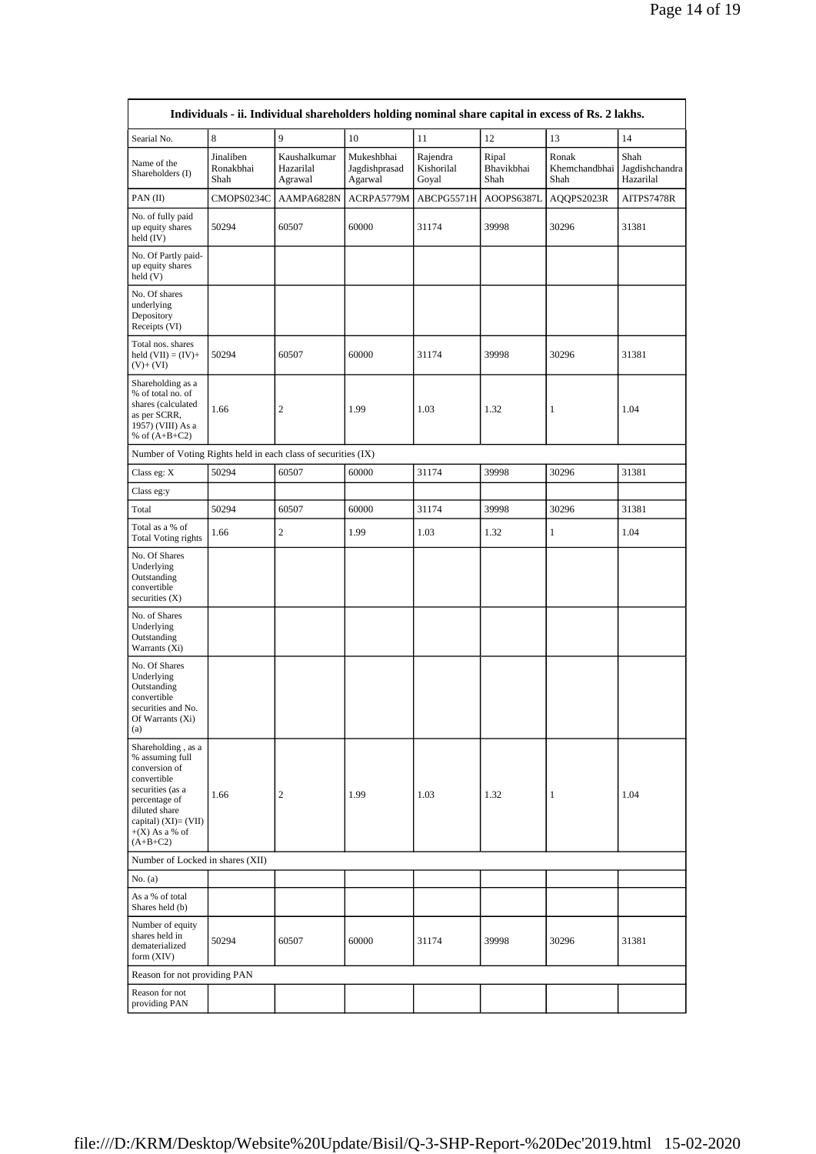| Individuals - ii. Individual shareholders holding nominal share capital in excess of Rs. 2 lakhs.                                                                                     |                                  |                                      |                                        |                                 |                             |                                               |                   |  |
|---------------------------------------------------------------------------------------------------------------------------------------------------------------------------------------|----------------------------------|--------------------------------------|----------------------------------------|---------------------------------|-----------------------------|-----------------------------------------------|-------------------|--|
| Searial No.                                                                                                                                                                           | 8                                | 9                                    | $10\,$                                 | 11                              | 12                          | 13                                            | 14                |  |
| Name of the<br>Shareholders (I)                                                                                                                                                       | Jinaliben<br>Ronakbhai<br>Shah   | Kaushalkumar<br>Hazarilal<br>Agrawal | Mukeshbhai<br>Jagdishprasad<br>Agarwal | Rajendra<br>Kishorilal<br>Goyal | Ripal<br>Bhavikbhai<br>Shah | Ronak<br>Khemchandbhai Jagdishchandra<br>Shah | Shah<br>Hazarilal |  |
| PAN(II)                                                                                                                                                                               | CMOPS0234C                       | AAMPA6828N                           | ACRPA5779M                             | ABCPG5571H                      | AOOPS6387L                  | AQQPS2023R                                    | AITPS7478R        |  |
| No. of fully paid<br>up equity shares<br>held (IV)                                                                                                                                    | 50294                            | 60507                                | 60000                                  | 31174                           | 39998                       | 30296                                         | 31381             |  |
| No. Of Partly paid-<br>up equity shares<br>held (V)                                                                                                                                   |                                  |                                      |                                        |                                 |                             |                                               |                   |  |
| No. Of shares<br>underlying<br>Depository<br>Receipts (VI)                                                                                                                            |                                  |                                      |                                        |                                 |                             |                                               |                   |  |
| Total nos. shares<br>held $(VII) = (IV) +$<br>$(V)+(VI)$                                                                                                                              | 50294                            | 60507                                | 60000                                  | 31174                           | 39998                       | 30296                                         | 31381             |  |
| Shareholding as a<br>% of total no. of<br>shares (calculated<br>as per SCRR,<br>1957) (VIII) As a<br>% of $(A+B+C2)$                                                                  | 1.66                             | $\boldsymbol{2}$                     | 1.99                                   | 1.03                            | 1.32                        | $\mathbf{1}$                                  | 1.04              |  |
| Number of Voting Rights held in each class of securities (IX)                                                                                                                         |                                  |                                      |                                        |                                 |                             |                                               |                   |  |
| Class eg: X                                                                                                                                                                           | 50294                            | 60507                                | 60000                                  | 31174                           | 39998                       | 30296                                         | 31381             |  |
| Class eg:y                                                                                                                                                                            |                                  |                                      |                                        |                                 |                             |                                               |                   |  |
| Total                                                                                                                                                                                 | 50294                            | 60507                                | 60000                                  | 31174                           | 39998                       | 30296                                         | 31381             |  |
| Total as a % of<br><b>Total Voting rights</b>                                                                                                                                         | 1.66                             | $\mathbf{2}$                         | 1.99                                   | 1.03                            | 1.32                        | $\,1$                                         | 1.04              |  |
| No. Of Shares<br>Underlying<br>Outstanding<br>convertible<br>securities (X)                                                                                                           |                                  |                                      |                                        |                                 |                             |                                               |                   |  |
| No. of Shares<br>Underlying<br>Outstanding<br>Warrants (Xi)                                                                                                                           |                                  |                                      |                                        |                                 |                             |                                               |                   |  |
| No. Of Shares<br>Underlying<br>Outstanding<br>convertible<br>securities and No.<br>Of Warrants $(Xi)$<br>(a)                                                                          |                                  |                                      |                                        |                                 |                             |                                               |                   |  |
| Shareholding, as a<br>% assuming full<br>conversion of<br>convertible<br>securities (as a<br>percentage of<br>diluted share<br>capital) (XI)= (VII)<br>$+(X)$ As a % of<br>$(A+B+C2)$ | 1.66                             | 2                                    | 1.99                                   | 1.03                            | 1.32                        | 1                                             | 1.04              |  |
|                                                                                                                                                                                       | Number of Locked in shares (XII) |                                      |                                        |                                 |                             |                                               |                   |  |
| No. (a)                                                                                                                                                                               |                                  |                                      |                                        |                                 |                             |                                               |                   |  |
| As a % of total<br>Shares held (b)                                                                                                                                                    |                                  |                                      |                                        |                                 |                             |                                               |                   |  |
| Number of equity<br>shares held in<br>dematerialized<br>form (XIV)                                                                                                                    | 50294                            | 60507                                | 60000                                  | 31174                           | 39998                       | 30296                                         | 31381             |  |
| Reason for not providing PAN                                                                                                                                                          |                                  |                                      |                                        |                                 |                             |                                               |                   |  |
| Reason for not<br>providing PAN                                                                                                                                                       |                                  |                                      |                                        |                                 |                             |                                               |                   |  |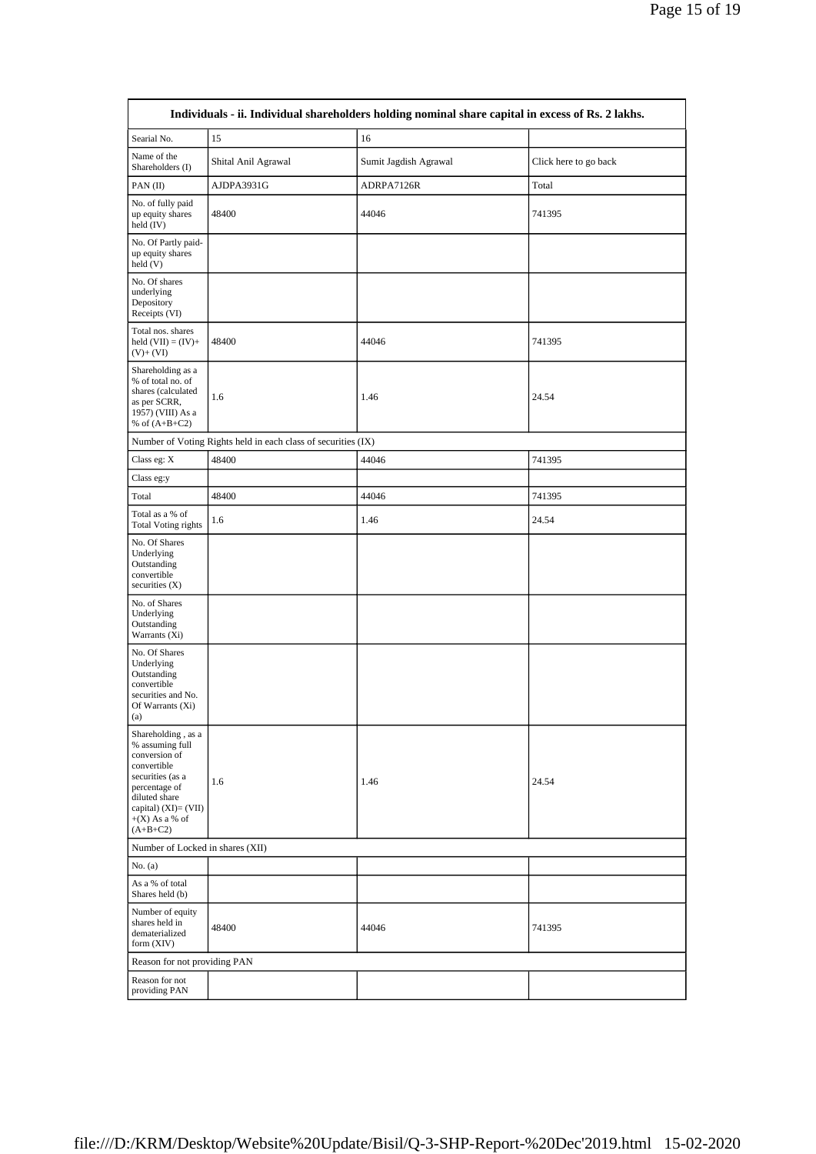| Individuals - ii. Individual shareholders holding nominal share capital in excess of Rs. 2 lakhs.                                                                                     |                                                               |                       |                       |  |  |  |
|---------------------------------------------------------------------------------------------------------------------------------------------------------------------------------------|---------------------------------------------------------------|-----------------------|-----------------------|--|--|--|
| Searial No.                                                                                                                                                                           | 15                                                            | 16                    |                       |  |  |  |
| Name of the<br>Shareholders (I)                                                                                                                                                       | Shital Anil Agrawal                                           | Sumit Jagdish Agrawal | Click here to go back |  |  |  |
| PAN(II)                                                                                                                                                                               | AJDPA3931G                                                    | ADRPA7126R            | Total                 |  |  |  |
| No. of fully paid<br>up equity shares<br>held (IV)                                                                                                                                    | 48400                                                         | 44046                 | 741395                |  |  |  |
| No. Of Partly paid-<br>up equity shares<br>held (V)                                                                                                                                   |                                                               |                       |                       |  |  |  |
| No. Of shares<br>underlying<br>Depository<br>Receipts (VI)                                                                                                                            |                                                               |                       |                       |  |  |  |
| Total nos. shares<br>held $(VII) = (IV) +$<br>$(V)+(VI)$                                                                                                                              | 48400                                                         | 44046                 | 741395                |  |  |  |
| Shareholding as a<br>% of total no. of<br>shares (calculated<br>as per SCRR,<br>1957) (VIII) As a<br>% of $(A+B+C2)$                                                                  | 1.6                                                           | 1.46                  | 24.54                 |  |  |  |
|                                                                                                                                                                                       | Number of Voting Rights held in each class of securities (IX) |                       |                       |  |  |  |
| Class eg: X                                                                                                                                                                           | 48400                                                         | 44046                 | 741395                |  |  |  |
| Class eg:y                                                                                                                                                                            |                                                               |                       |                       |  |  |  |
| Total                                                                                                                                                                                 | 48400                                                         | 44046                 | 741395                |  |  |  |
| Total as a % of<br><b>Total Voting rights</b>                                                                                                                                         | 1.6                                                           | 1.46                  | 24.54                 |  |  |  |
| No. Of Shares<br>Underlying<br>Outstanding<br>convertible<br>securities $(X)$                                                                                                         |                                                               |                       |                       |  |  |  |
| No. of Shares<br>Underlying<br>Outstanding<br>Warrants (Xi)                                                                                                                           |                                                               |                       |                       |  |  |  |
| No. Of Shares<br>Underlying<br>Outstanding<br>convertible<br>securities and No.<br>Of Warrants (Xi)<br>(a)                                                                            |                                                               |                       |                       |  |  |  |
| Shareholding, as a<br>% assuming full<br>conversion of<br>convertible<br>securities (as a<br>percentage of<br>diluted share<br>capital) (XI)= (VII)<br>$+(X)$ As a % of<br>$(A+B+C2)$ | 1.6                                                           | 1.46                  | 24.54                 |  |  |  |
| Number of Locked in shares (XII)                                                                                                                                                      |                                                               |                       |                       |  |  |  |
| No. (a)                                                                                                                                                                               |                                                               |                       |                       |  |  |  |
| As a % of total<br>Shares held (b)                                                                                                                                                    |                                                               |                       |                       |  |  |  |
| Number of equity<br>shares held in<br>dematerialized<br>form (XIV)                                                                                                                    | 48400                                                         | 44046                 | 741395                |  |  |  |
|                                                                                                                                                                                       | Reason for not providing PAN                                  |                       |                       |  |  |  |
| Reason for not<br>providing PAN                                                                                                                                                       |                                                               |                       |                       |  |  |  |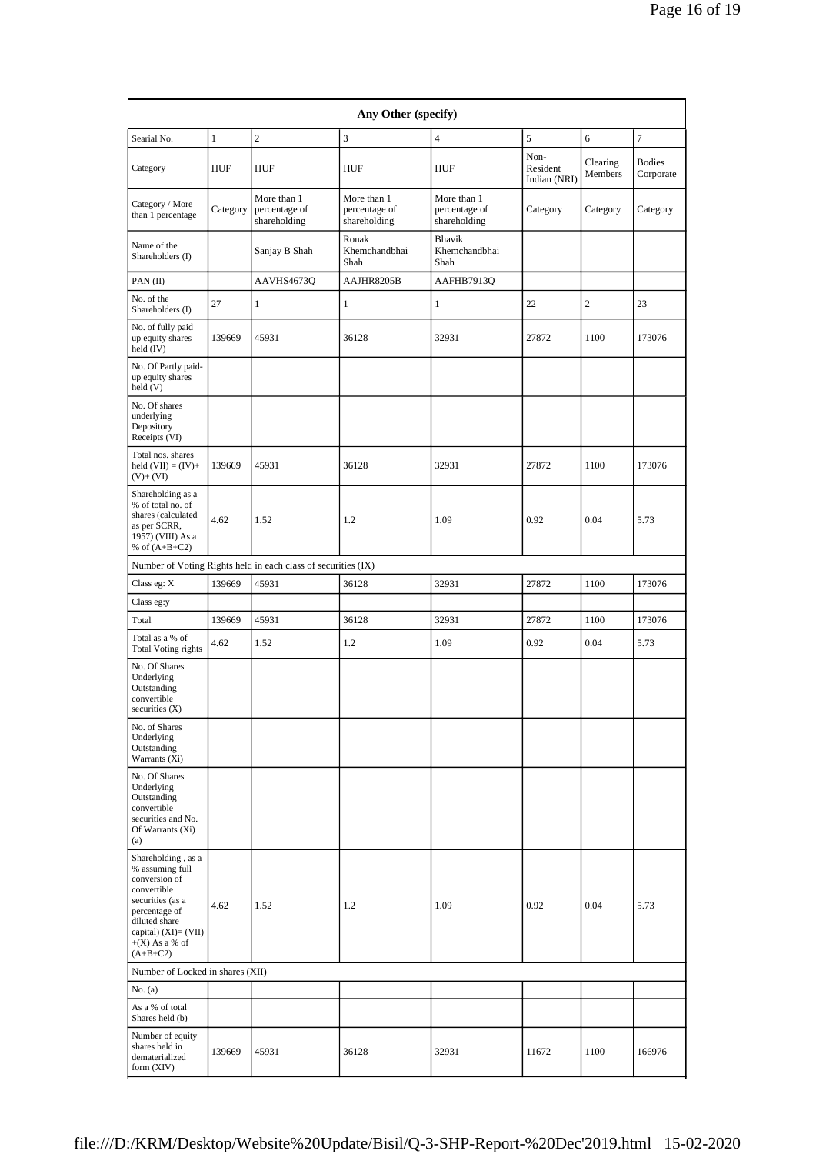| Any Other (specify)                                                                                                                                                                      |              |                                                               |                                              |                                              |                                  |                     |                            |
|------------------------------------------------------------------------------------------------------------------------------------------------------------------------------------------|--------------|---------------------------------------------------------------|----------------------------------------------|----------------------------------------------|----------------------------------|---------------------|----------------------------|
| Searial No.                                                                                                                                                                              | $\mathbf{1}$ | $\overline{c}$                                                | 3                                            | $\overline{4}$                               | 5                                | 6                   | $\tau$                     |
| Category                                                                                                                                                                                 | HUF          | HUF                                                           | <b>HUF</b>                                   | HUF                                          | Non-<br>Resident<br>Indian (NRI) | Clearing<br>Members | <b>Bodies</b><br>Corporate |
| Category / More<br>than 1 percentage                                                                                                                                                     | Category     | More than 1<br>percentage of<br>shareholding                  | More than 1<br>percentage of<br>shareholding | More than 1<br>percentage of<br>shareholding | Category                         | Category            | Category                   |
| Name of the<br>Shareholders (I)                                                                                                                                                          |              | Sanjay B Shah                                                 | Ronak<br>Khemchandbhai<br>Shah               | <b>Bhavik</b><br>Khemchandbhai<br>Shah       |                                  |                     |                            |
| PAN(II)                                                                                                                                                                                  |              | AAVHS4673Q                                                    | AAJHR8205B                                   | AAFHB7913Q                                   |                                  |                     |                            |
| No. of the<br>Shareholders (I)                                                                                                                                                           | 27           | $\mathbf{1}$                                                  | 1                                            | $\mathbf{1}$                                 | 22                               | $\overline{c}$      | 23                         |
| No. of fully paid<br>up equity shares<br>held (IV)                                                                                                                                       | 139669       | 45931                                                         | 36128                                        | 32931                                        | 27872                            | 1100                | 173076                     |
| No. Of Partly paid-<br>up equity shares<br>held (V)                                                                                                                                      |              |                                                               |                                              |                                              |                                  |                     |                            |
| No. Of shares<br>underlying<br>Depository<br>Receipts (VI)                                                                                                                               |              |                                                               |                                              |                                              |                                  |                     |                            |
| Total nos. shares<br>held $(VII) = (IV) +$<br>$(V) + (VI)$                                                                                                                               | 139669       | 45931                                                         | 36128                                        | 32931                                        | 27872                            | 1100                | 173076                     |
| Shareholding as a<br>% of total no. of<br>shares (calculated<br>as per SCRR,<br>1957) (VIII) As a<br>% of $(A+B+C2)$                                                                     | 4.62         | 1.52                                                          | 1.2                                          | 1.09                                         | 0.92                             | 0.04                | 5.73                       |
|                                                                                                                                                                                          |              | Number of Voting Rights held in each class of securities (IX) |                                              |                                              |                                  |                     |                            |
| Class eg: X                                                                                                                                                                              | 139669       | 45931                                                         | 36128                                        | 32931                                        | 27872                            | 1100                | 173076                     |
| Class eg:y                                                                                                                                                                               |              |                                                               |                                              |                                              |                                  |                     |                            |
| Total                                                                                                                                                                                    | 139669       | 45931                                                         | 36128                                        | 32931                                        | 27872                            | 1100                | 173076                     |
| Total as a % of<br><b>Total Voting rights</b>                                                                                                                                            | 4.62         | 1.52                                                          | 1.2                                          | 1.09                                         | 0.92                             | 0.04                | 5.73                       |
| No. Of Shares<br>Underlying<br>Outstanding<br>convertible<br>securities $(X)$                                                                                                            |              |                                                               |                                              |                                              |                                  |                     |                            |
| No. of Shares<br>Underlying<br>Outstanding<br>Warrants (Xi)                                                                                                                              |              |                                                               |                                              |                                              |                                  |                     |                            |
| No. Of Shares<br>Underlying<br>Outstanding<br>convertible<br>securities and No.<br>Of Warrants (Xi)<br>(a)                                                                               |              |                                                               |                                              |                                              |                                  |                     |                            |
| Shareholding, as a<br>% assuming full<br>conversion of<br>convertible<br>securities (as a<br>percentage of<br>diluted share<br>capital) $(XI) = (VII)$<br>$+(X)$ As a % of<br>$(A+B+C2)$ | 4.62         | 1.52                                                          | 1.2                                          | 1.09                                         | 0.92                             | 0.04                | 5.73                       |
| Number of Locked in shares (XII)                                                                                                                                                         |              |                                                               |                                              |                                              |                                  |                     |                            |
| No. $(a)$                                                                                                                                                                                |              |                                                               |                                              |                                              |                                  |                     |                            |
| As a % of total<br>Shares held (b)                                                                                                                                                       |              |                                                               |                                              |                                              |                                  |                     |                            |
| Number of equity<br>shares held in<br>dematerialized<br>form (XIV)                                                                                                                       | 139669       | 45931                                                         | 36128                                        | 32931                                        | 11672                            | 1100                | 166976                     |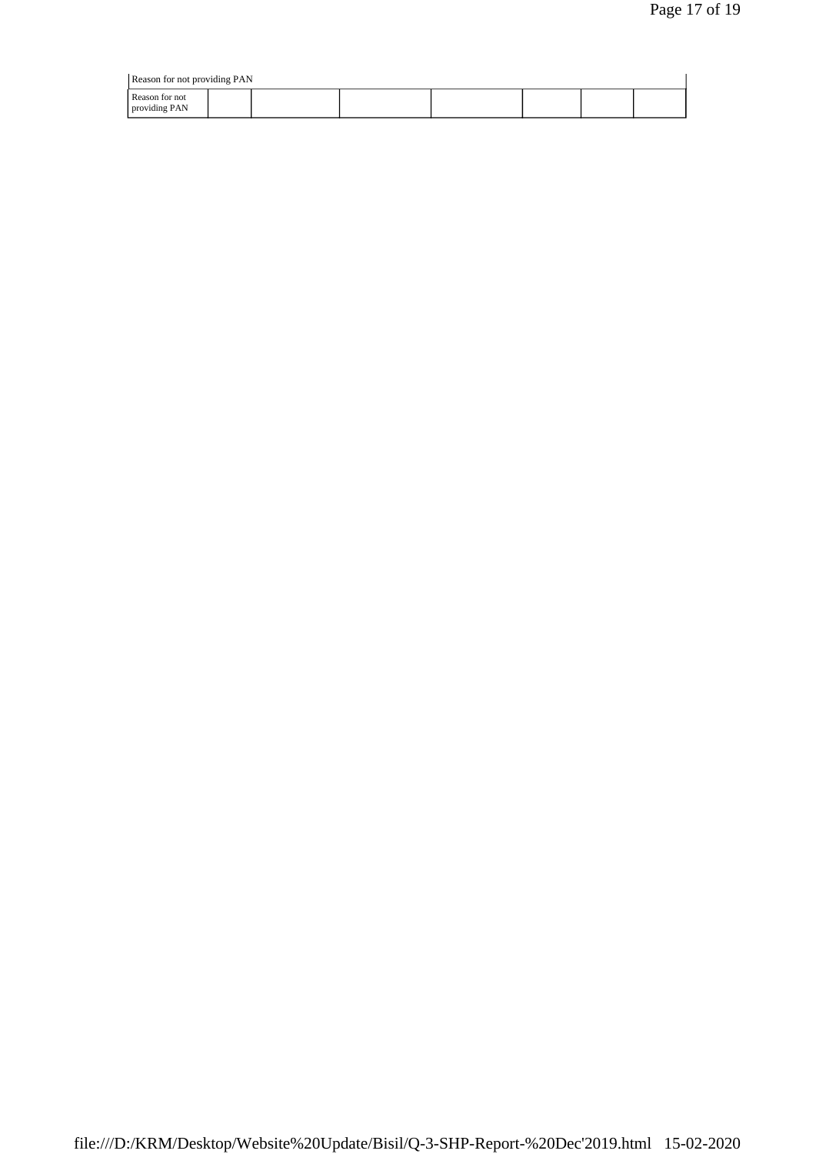| Reason for not providing PAN |  |  |  |  |  |  |  |
|------------------------------|--|--|--|--|--|--|--|
| Reason for not               |  |  |  |  |  |  |  |
| providing PAN                |  |  |  |  |  |  |  |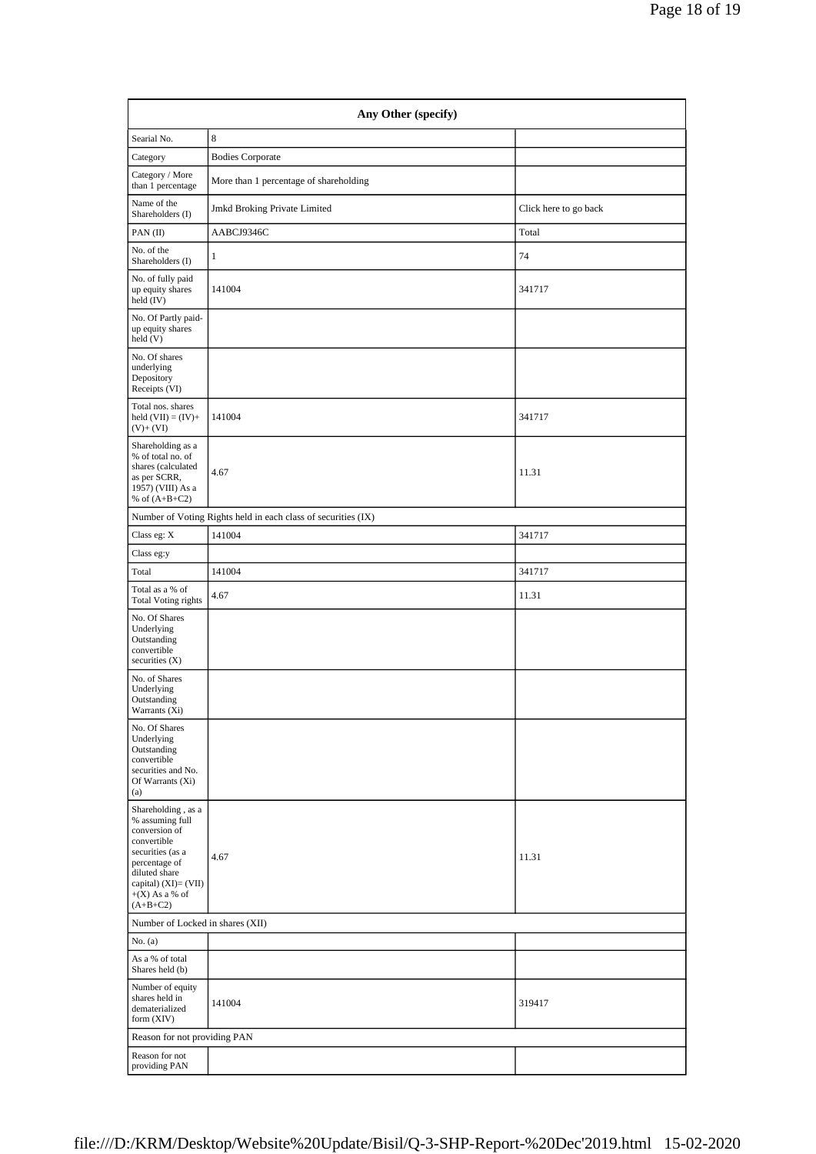| Any Other (specify)                                                                                                                                                                   |                                                               |                       |  |  |  |  |
|---------------------------------------------------------------------------------------------------------------------------------------------------------------------------------------|---------------------------------------------------------------|-----------------------|--|--|--|--|
| Searial No.                                                                                                                                                                           | 8                                                             |                       |  |  |  |  |
| Category                                                                                                                                                                              | <b>Bodies Corporate</b>                                       |                       |  |  |  |  |
| Category / More<br>than 1 percentage                                                                                                                                                  | More than 1 percentage of shareholding                        |                       |  |  |  |  |
| Name of the<br>Shareholders (I)                                                                                                                                                       | Jmkd Broking Private Limited                                  | Click here to go back |  |  |  |  |
| PAN(II)                                                                                                                                                                               | AABCJ9346C                                                    | Total                 |  |  |  |  |
| No. of the<br>Shareholders (I)                                                                                                                                                        | 1                                                             | 74                    |  |  |  |  |
| No. of fully paid<br>up equity shares<br>held $(IV)$                                                                                                                                  | 141004                                                        | 341717                |  |  |  |  |
| No. Of Partly paid-<br>up equity shares<br>held (V)                                                                                                                                   |                                                               |                       |  |  |  |  |
| No. Of shares<br>underlying<br>Depository<br>Receipts (VI)                                                                                                                            |                                                               |                       |  |  |  |  |
| Total nos. shares<br>held $(VII) = (IV) +$<br>$(V)+(VI)$                                                                                                                              | 141004                                                        | 341717                |  |  |  |  |
| Shareholding as a<br>% of total no. of<br>shares (calculated<br>as per SCRR,<br>1957) (VIII) As a<br>% of $(A+B+C2)$                                                                  | 4.67                                                          | 11.31                 |  |  |  |  |
|                                                                                                                                                                                       | Number of Voting Rights held in each class of securities (IX) |                       |  |  |  |  |
| Class eg: X                                                                                                                                                                           | 141004                                                        | 341717                |  |  |  |  |
| Class eg:y                                                                                                                                                                            |                                                               |                       |  |  |  |  |
| Total                                                                                                                                                                                 | 141004                                                        | 341717                |  |  |  |  |
| Total as a % of<br><b>Total Voting rights</b>                                                                                                                                         | 4.67                                                          | 11.31                 |  |  |  |  |
| No. Of Shares<br>Underlying<br>Outstanding<br>convertible<br>securities $(X)$                                                                                                         |                                                               |                       |  |  |  |  |
| No. of Shares<br>Underlying<br>Outstanding<br>Warrants (Xi)                                                                                                                           |                                                               |                       |  |  |  |  |
| No. Of Shares<br>Underlying<br>Outstanding<br>convertible<br>securities and No.<br>Of Warrants (Xi)<br>(a)                                                                            |                                                               |                       |  |  |  |  |
| Shareholding, as a<br>% assuming full<br>conversion of<br>convertible<br>securities (as a<br>percentage of<br>diluted share<br>capital) (XI)= (VII)<br>$+(X)$ As a % of<br>$(A+B+C2)$ | 4.67                                                          | 11.31                 |  |  |  |  |
| Number of Locked in shares (XII)                                                                                                                                                      |                                                               |                       |  |  |  |  |
| No. (a)                                                                                                                                                                               |                                                               |                       |  |  |  |  |
| As a % of total<br>Shares held (b)                                                                                                                                                    |                                                               |                       |  |  |  |  |
| Number of equity<br>shares held in<br>dematerialized<br>form (XIV)                                                                                                                    | 141004                                                        | 319417                |  |  |  |  |
| Reason for not providing PAN                                                                                                                                                          |                                                               |                       |  |  |  |  |
| Reason for not<br>providing PAN                                                                                                                                                       |                                                               |                       |  |  |  |  |